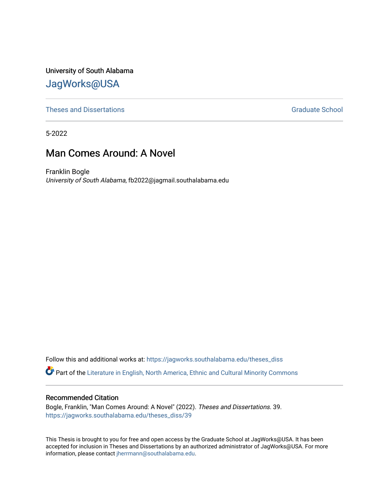University of South Alabama [JagWorks@USA](https://jagworks.southalabama.edu/) 

[Theses and Dissertations](https://jagworks.southalabama.edu/theses_diss) [Graduate School](https://jagworks.southalabama.edu/gradschool) and Dissertations Graduate School and Dissertations Graduate School and Dissertations Graduate School and Dissertations Graduate School and Dissertations Graduate School and Dissert

5-2022

# Man Comes Around: A Novel

Franklin Bogle University of South Alabama, fb2022@jagmail.southalabama.edu

Follow this and additional works at: [https://jagworks.southalabama.edu/theses\\_diss](https://jagworks.southalabama.edu/theses_diss?utm_source=jagworks.southalabama.edu%2Ftheses_diss%2F39&utm_medium=PDF&utm_campaign=PDFCoverPages) 

Part of the [Literature in English, North America, Ethnic and Cultural Minority Commons](https://network.bepress.com/hgg/discipline/459?utm_source=jagworks.southalabama.edu%2Ftheses_diss%2F39&utm_medium=PDF&utm_campaign=PDFCoverPages)

#### Recommended Citation

Bogle, Franklin, "Man Comes Around: A Novel" (2022). Theses and Dissertations. 39. [https://jagworks.southalabama.edu/theses\\_diss/39](https://jagworks.southalabama.edu/theses_diss/39?utm_source=jagworks.southalabama.edu%2Ftheses_diss%2F39&utm_medium=PDF&utm_campaign=PDFCoverPages) 

This Thesis is brought to you for free and open access by the Graduate School at JagWorks@USA. It has been accepted for inclusion in Theses and Dissertations by an authorized administrator of JagWorks@USA. For more information, please contact [jherrmann@southalabama.edu.](mailto:jherrmann@southalabama.edu)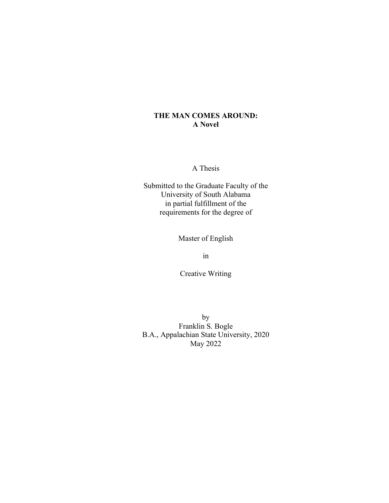## **THE MAN COMES AROUND: A Novel**

A Thesis

Submitted to the Graduate Faculty of the University of South Alabama in partial fulfillment of the requirements for the degree of

Master of English

in

Creative Writing

by Franklin S. Bogle B.A., Appalachian State University, 2020 May 2022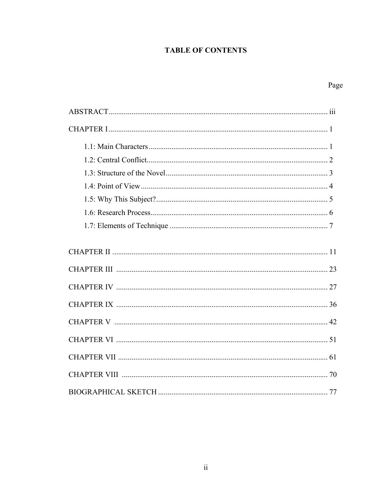## **TABLE OF CONTENTS**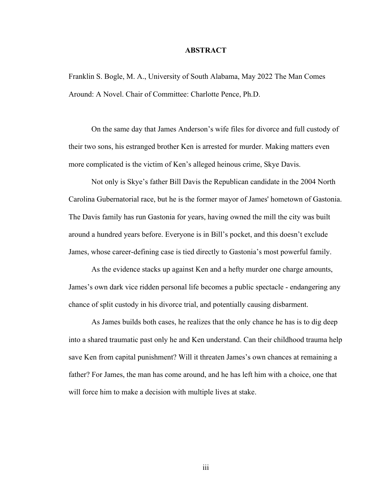#### **ABSTRACT**

Franklin S. Bogle, M. A., University of South Alabama, May 2022 The Man Comes Around: A Novel. Chair of Committee: Charlotte Pence, Ph.D.

On the same day that James Anderson's wife files for divorce and full custody of their two sons, his estranged brother Ken is arrested for murder. Making matters even more complicated is the victim of Ken's alleged heinous crime, Skye Davis.

Not only is Skye's father Bill Davis the Republican candidate in the 2004 North Carolina Gubernatorial race, but he is the former mayor of James' hometown of Gastonia. The Davis family has run Gastonia for years, having owned the mill the city was built around a hundred years before. Everyone is in Bill's pocket, and this doesn't exclude James, whose career-defining case is tied directly to Gastonia's most powerful family.

As the evidence stacks up against Ken and a hefty murder one charge amounts, James's own dark vice ridden personal life becomes a public spectacle - endangering any chance of split custody in his divorce trial, and potentially causing disbarment.

As James builds both cases, he realizes that the only chance he has is to dig deep into a shared traumatic past only he and Ken understand. Can their childhood trauma help save Ken from capital punishment? Will it threaten James's own chances at remaining a father? For James, the man has come around, and he has left him with a choice, one that will force him to make a decision with multiple lives at stake.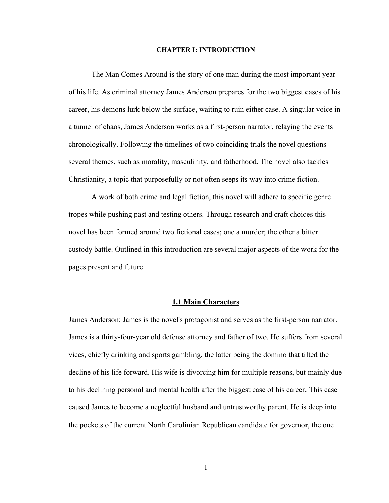#### **CHAPTER I: INTRODUCTION**

The Man Comes Around is the story of one man during the most important year of his life. As criminal attorney James Anderson prepares for the two biggest cases of his career, his demons lurk below the surface, waiting to ruin either case. A singular voice in a tunnel of chaos, James Anderson works as a first-person narrator, relaying the events chronologically. Following the timelines of two coinciding trials the novel questions several themes, such as morality, masculinity, and fatherhood. The novel also tackles Christianity, a topic that purposefully or not often seeps its way into crime fiction.

A work of both crime and legal fiction, this novel will adhere to specific genre tropes while pushing past and testing others. Through research and craft choices this novel has been formed around two fictional cases; one a murder; the other a bitter custody battle. Outlined in this introduction are several major aspects of the work for the pages present and future.

#### **1.1 Main Characters**

James Anderson: James is the novel's protagonist and serves as the first-person narrator. James is a thirty-four-year old defense attorney and father of two. He suffers from several vices, chiefly drinking and sports gambling, the latter being the domino that tilted the decline of his life forward. His wife is divorcing him for multiple reasons, but mainly due to his declining personal and mental health after the biggest case of his career. This case caused James to become a neglectful husband and untrustworthy parent. He is deep into the pockets of the current North Carolinian Republican candidate for governor, the one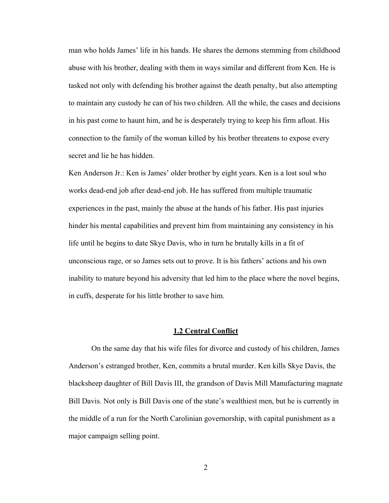man who holds James' life in his hands. He shares the demons stemming from childhood abuse with his brother, dealing with them in ways similar and different from Ken. He is tasked not only with defending his brother against the death penalty, but also attempting to maintain any custody he can of his two children. All the while, the cases and decisions in his past come to haunt him, and he is desperately trying to keep his firm afloat. His connection to the family of the woman killed by his brother threatens to expose every secret and lie he has hidden.

Ken Anderson Jr.: Ken is James' older brother by eight years. Ken is a lost soul who works dead-end job after dead-end job. He has suffered from multiple traumatic experiences in the past, mainly the abuse at the hands of his father. His past injuries hinder his mental capabilities and prevent him from maintaining any consistency in his life until he begins to date Skye Davis, who in turn he brutally kills in a fit of unconscious rage, or so James sets out to prove. It is his fathers' actions and his own inability to mature beyond his adversity that led him to the place where the novel begins, in cuffs, desperate for his little brother to save him.

#### **1.2 Central Conflict**

On the same day that his wife files for divorce and custody of his children, James Anderson's estranged brother, Ken, commits a brutal murder. Ken kills Skye Davis, the blacksheep daughter of Bill Davis III, the grandson of Davis Mill Manufacturing magnate Bill Davis. Not only is Bill Davis one of the state's wealthiest men, but he is currently in the middle of a run for the North Carolinian governorship, with capital punishment as a major campaign selling point.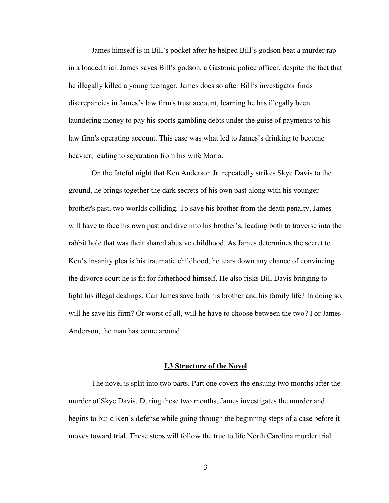James himself is in Bill's pocket after he helped Bill's godson beat a murder rap in a loaded trial. James saves Bill's godson, a Gastonia police officer, despite the fact that he illegally killed a young teenager. James does so after Bill's investigator finds discrepancies in James's law firm's trust account, learning he has illegally been laundering money to pay his sports gambling debts under the guise of payments to his law firm's operating account. This case was what led to James's drinking to become heavier, leading to separation from his wife Maria.

 On the fateful night that Ken Anderson Jr. repeatedly strikes Skye Davis to the ground, he brings together the dark secrets of his own past along with his younger brother's past, two worlds colliding. To save his brother from the death penalty, James will have to face his own past and dive into his brother's, leading both to traverse into the rabbit hole that was their shared abusive childhood. As James determines the secret to Ken's insanity plea is his traumatic childhood, he tears down any chance of convincing the divorce court he is fit for fatherhood himself. He also risks Bill Davis bringing to light his illegal dealings. Can James save both his brother and his family life? In doing so, will he save his firm? Or worst of all, will he have to choose between the two? For James Anderson, the man has come around.

#### **I.3 Structure of the Novel**

 The novel is split into two parts. Part one covers the ensuing two months after the murder of Skye Davis. During these two months, James investigates the murder and begins to build Ken's defense while going through the beginning steps of a case before it moves toward trial. These steps will follow the true to life North Carolina murder trial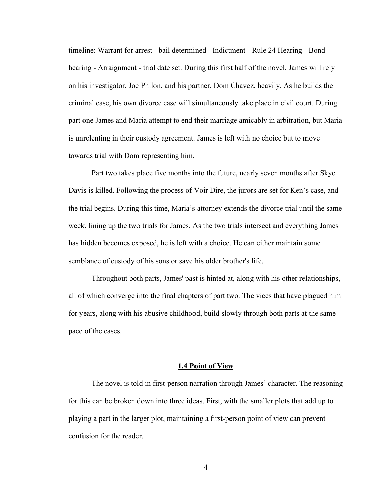timeline: Warrant for arrest - bail determined - Indictment - Rule 24 Hearing - Bond hearing - Arraignment - trial date set. During this first half of the novel, James will rely on his investigator, Joe Philon, and his partner, Dom Chavez, heavily. As he builds the criminal case, his own divorce case will simultaneously take place in civil court. During part one James and Maria attempt to end their marriage amicably in arbitration, but Maria is unrelenting in their custody agreement. James is left with no choice but to move towards trial with Dom representing him.

 Part two takes place five months into the future, nearly seven months after Skye Davis is killed. Following the process of Voir Dire, the jurors are set for Ken's case, and the trial begins. During this time, Maria's attorney extends the divorce trial until the same week, lining up the two trials for James. As the two trials intersect and everything James has hidden becomes exposed, he is left with a choice. He can either maintain some semblance of custody of his sons or save his older brother's life.

 Throughout both parts, James' past is hinted at, along with his other relationships, all of which converge into the final chapters of part two. The vices that have plagued him for years, along with his abusive childhood, build slowly through both parts at the same pace of the cases.

#### **1.4 Point of View**

The novel is told in first-person narration through James' character. The reasoning for this can be broken down into three ideas. First, with the smaller plots that add up to playing a part in the larger plot, maintaining a first-person point of view can prevent confusion for the reader.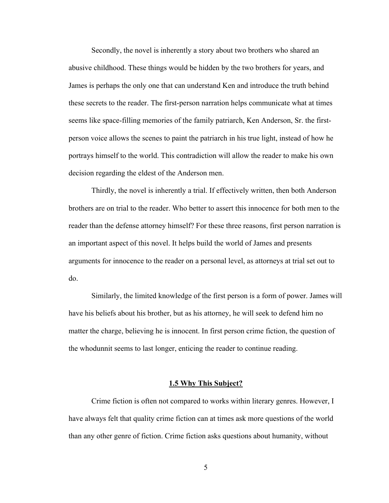Secondly, the novel is inherently a story about two brothers who shared an abusive childhood. These things would be hidden by the two brothers for years, and James is perhaps the only one that can understand Ken and introduce the truth behind these secrets to the reader. The first-person narration helps communicate what at times seems like space-filling memories of the family patriarch, Ken Anderson, Sr. the firstperson voice allows the scenes to paint the patriarch in his true light, instead of how he portrays himself to the world. This contradiction will allow the reader to make his own decision regarding the eldest of the Anderson men.

Thirdly, the novel is inherently a trial. If effectively written, then both Anderson brothers are on trial to the reader. Who better to assert this innocence for both men to the reader than the defense attorney himself? For these three reasons, first person narration is an important aspect of this novel. It helps build the world of James and presents arguments for innocence to the reader on a personal level, as attorneys at trial set out to do.

Similarly, the limited knowledge of the first person is a form of power. James will have his beliefs about his brother, but as his attorney, he will seek to defend him no matter the charge, believing he is innocent. In first person crime fiction, the question of the whodunnit seems to last longer, enticing the reader to continue reading.

#### **1.5 Why This Subject?**

 Crime fiction is often not compared to works within literary genres. However, I have always felt that quality crime fiction can at times ask more questions of the world than any other genre of fiction. Crime fiction asks questions about humanity, without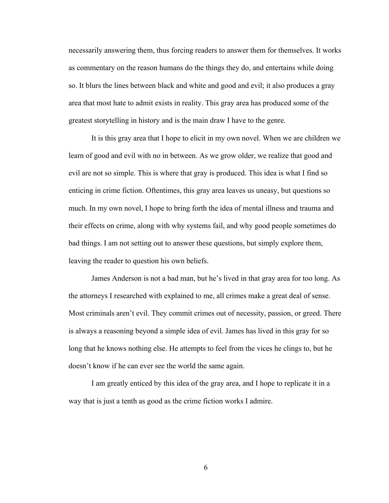necessarily answering them, thus forcing readers to answer them for themselves. It works as commentary on the reason humans do the things they do, and entertains while doing so. It blurs the lines between black and white and good and evil; it also produces a gray area that most hate to admit exists in reality. This gray area has produced some of the greatest storytelling in history and is the main draw I have to the genre.

 It is this gray area that I hope to elicit in my own novel. When we are children we learn of good and evil with no in between. As we grow older, we realize that good and evil are not so simple. This is where that gray is produced. This idea is what I find so enticing in crime fiction. Oftentimes, this gray area leaves us uneasy, but questions so much. In my own novel, I hope to bring forth the idea of mental illness and trauma and their effects on crime, along with why systems fail, and why good people sometimes do bad things. I am not setting out to answer these questions, but simply explore them, leaving the reader to question his own beliefs.

James Anderson is not a bad man, but he's lived in that gray area for too long. As the attorneys I researched with explained to me, all crimes make a great deal of sense. Most criminals aren't evil. They commit crimes out of necessity, passion, or greed. There is always a reasoning beyond a simple idea of evil. James has lived in this gray for so long that he knows nothing else. He attempts to feel from the vices he clings to, but he doesn't know if he can ever see the world the same again.

I am greatly enticed by this idea of the gray area, and I hope to replicate it in a way that is just a tenth as good as the crime fiction works I admire.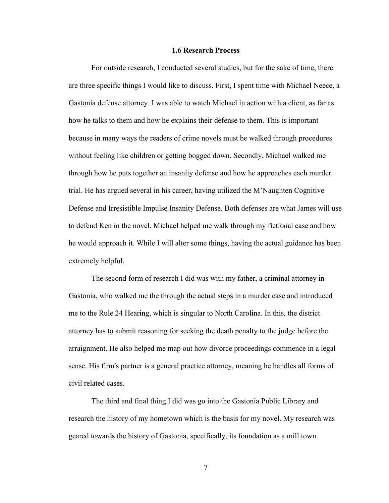#### **1.6 Research Process**

For outside research, I conducted several studies, but for the sake of time, there are three specific things I would like to discuss. First, I spent time with Michael Neece, a Gastonia defense attorney. I was able to watch Michael in action with a client, as far as how he talks to them and how he explains their defense to them. This is important because in many ways the readers of crime novels must be walked through procedures without feeling like children or getting bogged down. Secondly, Michael walked me through how he puts together an insanity defense and how he approaches each murder trial. He has argued several in his career, having utilized the M'Naughten Cognitive Defense and Irresistible Impulse Insanity Defense. Both defenses are what James will use to defend Ken in the novel. Michael helped me walk through my fictional case and how he would approach it. While I will alter some things, having the actual guidance has been extremely helpful.

 The second form of research I did was with my father, a criminal attorney in Gastonia, who walked me the through the actual steps in a murder case and introduced me to the Rule 24 Hearing, which is singular to North Carolina. In this, the district attorney has to submit reasoning for seeking the death penalty to the judge before the arraignment. He also helped me map out how divorce proceedings commence in a legal sense. His firm's partner is a general practice attorney, meaning he handles all forms of civil related cases.

The third and final thing I did was go into the Gastonia Public Library and research the history of my hometown which is the basis for my novel. My research was geared towards the history of Gastonia, specifically, its foundation as a mill town.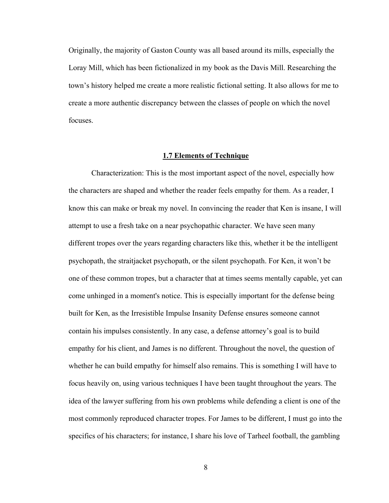Originally, the majority of Gaston County was all based around its mills, especially the Loray Mill, which has been fictionalized in my book as the Davis Mill. Researching the town's history helped me create a more realistic fictional setting. It also allows for me to create a more authentic discrepancy between the classes of people on which the novel focuses.

#### **1.7 Elements of Technique**

Characterization: This is the most important aspect of the novel, especially how the characters are shaped and whether the reader feels empathy for them. As a reader, I know this can make or break my novel. In convincing the reader that Ken is insane, I will attempt to use a fresh take on a near psychopathic character. We have seen many different tropes over the years regarding characters like this, whether it be the intelligent psychopath, the straitjacket psychopath, or the silent psychopath. For Ken, it won't be one of these common tropes, but a character that at times seems mentally capable, yet can come unhinged in a moment's notice. This is especially important for the defense being built for Ken, as the Irresistible Impulse Insanity Defense ensures someone cannot contain his impulses consistently. In any case, a defense attorney's goal is to build empathy for his client, and James is no different. Throughout the novel, the question of whether he can build empathy for himself also remains. This is something I will have to focus heavily on, using various techniques I have been taught throughout the years. The idea of the lawyer suffering from his own problems while defending a client is one of the most commonly reproduced character tropes. For James to be different, I must go into the specifics of his characters; for instance, I share his love of Tarheel football, the gambling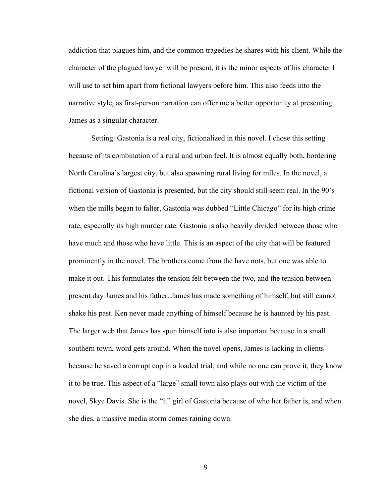addiction that plagues him, and the common tragedies he shares with his client. While the character of the plagued lawyer will be present, it is the minor aspects of his character I will use to set him apart from fictional lawyers before him. This also feeds into the narrative style, as first-person narration can offer me a better opportunity at presenting James as a singular character.

Setting: Gastonia is a real city, fictionalized in this novel. I chose this setting because of its combination of a rural and urban feel. It is almost equally both, bordering North Carolina's largest city, but also spawning rural living for miles. In the novel, a fictional version of Gastonia is presented, but the city should still seem real. In the 90's when the mills began to falter, Gastonia was dubbed "Little Chicago" for its high crime rate, especially its high murder rate. Gastonia is also heavily divided between those who have much and those who have little. This is an aspect of the city that will be featured prominently in the novel. The brothers come from the have nots, but one was able to make it out. This formulates the tension felt between the two, and the tension between present day James and his father. James has made something of himself, but still cannot shake his past. Ken never made anything of himself because he is haunted by his past. The larger web that James has spun himself into is also important because in a small southern town, word gets around. When the novel opens, James is lacking in clients because he saved a corrupt cop in a loaded trial, and while no one can prove it, they know it to be true. This aspect of a "large" small town also plays out with the victim of the novel, Skye Davis. She is the "it" girl of Gastonia because of who her father is, and when she dies, a massive media storm comes raining down.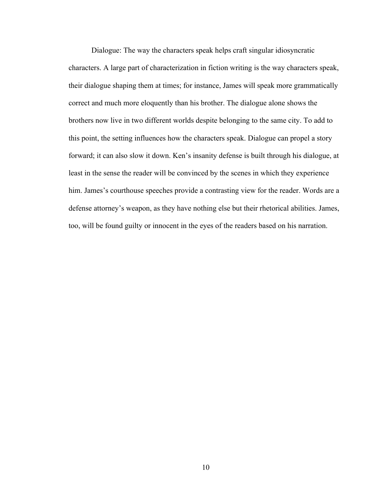Dialogue: The way the characters speak helps craft singular idiosyncratic characters. A large part of characterization in fiction writing is the way characters speak, their dialogue shaping them at times; for instance, James will speak more grammatically correct and much more eloquently than his brother. The dialogue alone shows the brothers now live in two different worlds despite belonging to the same city. To add to this point, the setting influences how the characters speak. Dialogue can propel a story forward; it can also slow it down. Ken's insanity defense is built through his dialogue, at least in the sense the reader will be convinced by the scenes in which they experience him. James's courthouse speeches provide a contrasting view for the reader. Words are a defense attorney's weapon, as they have nothing else but their rhetorical abilities. James, too, will be found guilty or innocent in the eyes of the readers based on his narration.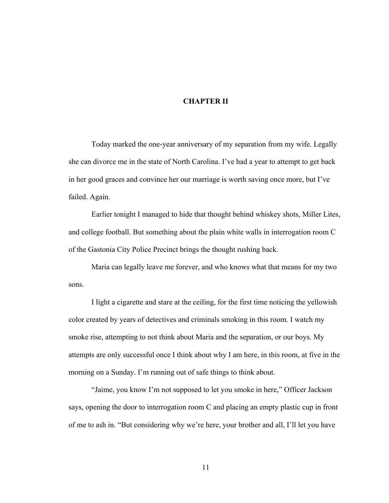### **CHAPTER II**

Today marked the one-year anniversary of my separation from my wife. Legally she can divorce me in the state of North Carolina. I've had a year to attempt to get back in her good graces and convince her our marriage is worth saving once more, but I've failed. Again.

Earlier tonight I managed to hide that thought behind whiskey shots, Miller Lites, and college football. But something about the plain white walls in interrogation room C of the Gastonia City Police Precinct brings the thought rushing back.

Maria can legally leave me forever, and who knows what that means for my two sons.

I light a cigarette and stare at the ceiling, for the first time noticing the yellowish color created by years of detectives and criminals smoking in this room. I watch my smoke rise, attempting to not think about Maria and the separation, or our boys. My attempts are only successful once I think about why I am here, in this room, at five in the morning on a Sunday. I'm running out of safe things to think about.

"Jaime, you know I'm not supposed to let you smoke in here," Officer Jackson says, opening the door to interrogation room C and placing an empty plastic cup in front of me to ash in. "But considering why we're here, your brother and all, I'll let you have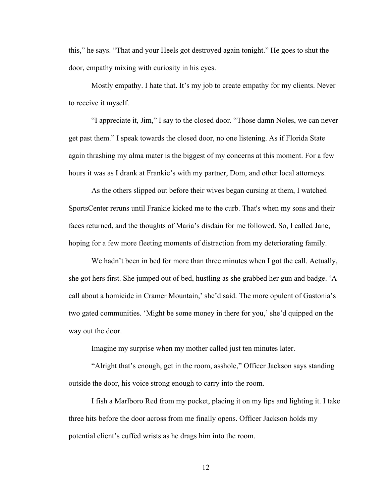this," he says. "That and your Heels got destroyed again tonight." He goes to shut the door, empathy mixing with curiosity in his eyes.

Mostly empathy. I hate that. It's my job to create empathy for my clients. Never to receive it myself.

"I appreciate it, Jim," I say to the closed door. "Those damn Noles, we can never get past them." I speak towards the closed door, no one listening. As if Florida State again thrashing my alma mater is the biggest of my concerns at this moment. For a few hours it was as I drank at Frankie's with my partner, Dom, and other local attorneys.

As the others slipped out before their wives began cursing at them, I watched SportsCenter reruns until Frankie kicked me to the curb. That's when my sons and their faces returned, and the thoughts of Maria's disdain for me followed. So, I called Jane, hoping for a few more fleeting moments of distraction from my deteriorating family.

We hadn't been in bed for more than three minutes when I got the call. Actually, she got hers first. She jumped out of bed, hustling as she grabbed her gun and badge. 'A call about a homicide in Cramer Mountain,' she'd said. The more opulent of Gastonia's two gated communities. 'Might be some money in there for you,' she'd quipped on the way out the door.

Imagine my surprise when my mother called just ten minutes later.

"Alright that's enough, get in the room, asshole," Officer Jackson says standing outside the door, his voice strong enough to carry into the room.

 I fish a Marlboro Red from my pocket, placing it on my lips and lighting it. I take three hits before the door across from me finally opens. Officer Jackson holds my potential client's cuffed wrists as he drags him into the room.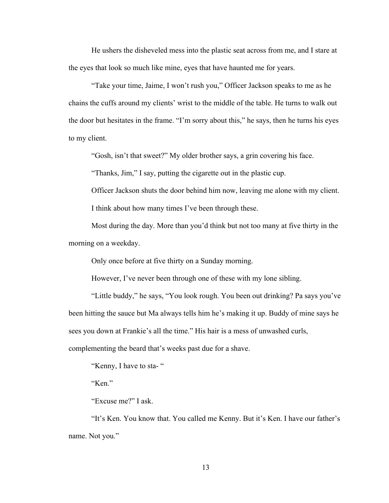He ushers the disheveled mess into the plastic seat across from me, and I stare at the eyes that look so much like mine, eyes that have haunted me for years.

 "Take your time, Jaime, I won't rush you," Officer Jackson speaks to me as he chains the cuffs around my clients' wrist to the middle of the table. He turns to walk out the door but hesitates in the frame. "I'm sorry about this," he says, then he turns his eyes to my client.

"Gosh, isn't that sweet?" My older brother says, a grin covering his face.

"Thanks, Jim," I say, putting the cigarette out in the plastic cup.

Officer Jackson shuts the door behind him now, leaving me alone with my client.

I think about how many times I've been through these.

 Most during the day. More than you'd think but not too many at five thirty in the morning on a weekday.

Only once before at five thirty on a Sunday morning.

However, I've never been through one of these with my lone sibling.

 "Little buddy," he says, "You look rough. You been out drinking? Pa says you've been hitting the sauce but Ma always tells him he's making it up. Buddy of mine says he sees you down at Frankie's all the time." His hair is a mess of unwashed curls, complementing the beard that's weeks past due for a shave.

"Kenny, I have to sta- "

"Ken."

"Excuse me?" I ask.

 "It's Ken. You know that. You called me Kenny. But it's Ken. I have our father's name. Not you."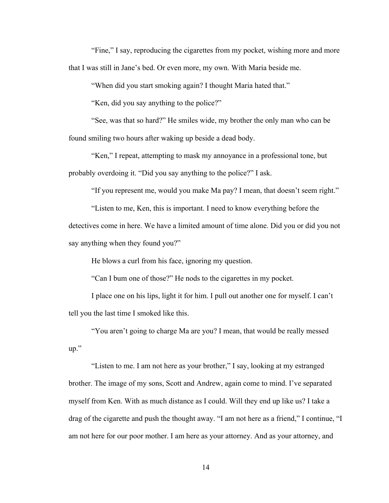"Fine," I say, reproducing the cigarettes from my pocket, wishing more and more that I was still in Jane's bed. Or even more, my own. With Maria beside me.

"When did you start smoking again? I thought Maria hated that."

"Ken, did you say anything to the police?"

 "See, was that so hard?" He smiles wide, my brother the only man who can be found smiling two hours after waking up beside a dead body.

 "Ken," I repeat, attempting to mask my annoyance in a professional tone, but probably overdoing it. "Did you say anything to the police?" I ask.

"If you represent me, would you make Ma pay? I mean, that doesn't seem right."

 "Listen to me, Ken, this is important. I need to know everything before the detectives come in here. We have a limited amount of time alone. Did you or did you not say anything when they found you?"

He blows a curl from his face, ignoring my question.

"Can I bum one of those?" He nods to the cigarettes in my pocket.

 I place one on his lips, light it for him. I pull out another one for myself. I can't tell you the last time I smoked like this.

 "You aren't going to charge Ma are you? I mean, that would be really messed up."

 "Listen to me. I am not here as your brother," I say, looking at my estranged brother. The image of my sons, Scott and Andrew, again come to mind. I've separated myself from Ken. With as much distance as I could. Will they end up like us? I take a drag of the cigarette and push the thought away. "I am not here as a friend," I continue, "I am not here for our poor mother. I am here as your attorney. And as your attorney, and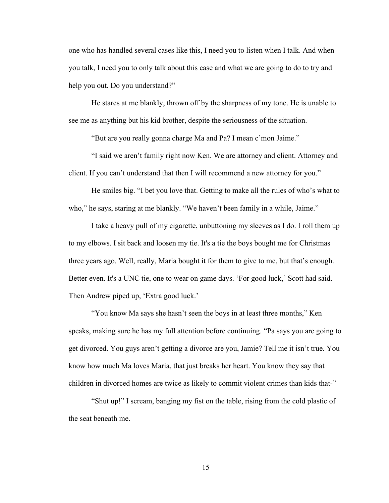one who has handled several cases like this, I need you to listen when I talk. And when you talk, I need you to only talk about this case and what we are going to do to try and help you out. Do you understand?"

 He stares at me blankly, thrown off by the sharpness of my tone. He is unable to see me as anything but his kid brother, despite the seriousness of the situation.

"But are you really gonna charge Ma and Pa? I mean c'mon Jaime."

 "I said we aren't family right now Ken. We are attorney and client. Attorney and client. If you can't understand that then I will recommend a new attorney for you."

 He smiles big. "I bet you love that. Getting to make all the rules of who's what to who," he says, staring at me blankly. "We haven't been family in a while, Jaime."

I take a heavy pull of my cigarette, unbuttoning my sleeves as I do. I roll them up to my elbows. I sit back and loosen my tie. It's a tie the boys bought me for Christmas three years ago. Well, really, Maria bought it for them to give to me, but that's enough. Better even. It's a UNC tie, one to wear on game days. 'For good luck,' Scott had said. Then Andrew piped up, 'Extra good luck.'

 "You know Ma says she hasn't seen the boys in at least three months," Ken speaks, making sure he has my full attention before continuing. "Pa says you are going to get divorced. You guys aren't getting a divorce are you, Jamie? Tell me it isn't true. You know how much Ma loves Maria, that just breaks her heart. You know they say that children in divorced homes are twice as likely to commit violent crimes than kids that-"

 "Shut up!" I scream, banging my fist on the table, rising from the cold plastic of the seat beneath me.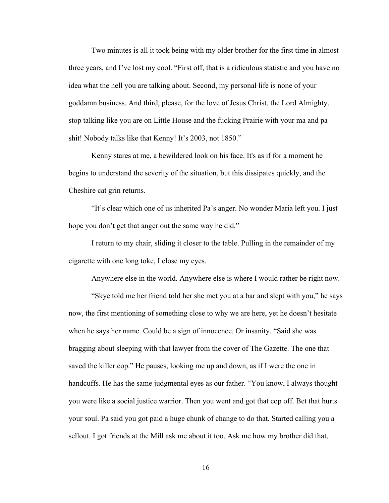Two minutes is all it took being with my older brother for the first time in almost three years, and I've lost my cool. "First off, that is a ridiculous statistic and you have no idea what the hell you are talking about. Second, my personal life is none of your goddamn business. And third, please, for the love of Jesus Christ, the Lord Almighty, stop talking like you are on Little House and the fucking Prairie with your ma and pa shit! Nobody talks like that Kenny! It's 2003, not 1850."

 Kenny stares at me, a bewildered look on his face. It's as if for a moment he begins to understand the severity of the situation, but this dissipates quickly, and the Cheshire cat grin returns.

 "It's clear which one of us inherited Pa's anger. No wonder Maria left you. I just hope you don't get that anger out the same way he did."

I return to my chair, sliding it closer to the table. Pulling in the remainder of my cigarette with one long toke, I close my eyes.

Anywhere else in the world. Anywhere else is where I would rather be right now.

"Skye told me her friend told her she met you at a bar and slept with you," he says now, the first mentioning of something close to why we are here, yet he doesn't hesitate when he says her name. Could be a sign of innocence. Or insanity. "Said she was bragging about sleeping with that lawyer from the cover of The Gazette. The one that saved the killer cop." He pauses, looking me up and down, as if I were the one in handcuffs. He has the same judgmental eyes as our father. "You know, I always thought you were like a social justice warrior. Then you went and got that cop off. Bet that hurts your soul. Pa said you got paid a huge chunk of change to do that. Started calling you a sellout. I got friends at the Mill ask me about it too. Ask me how my brother did that,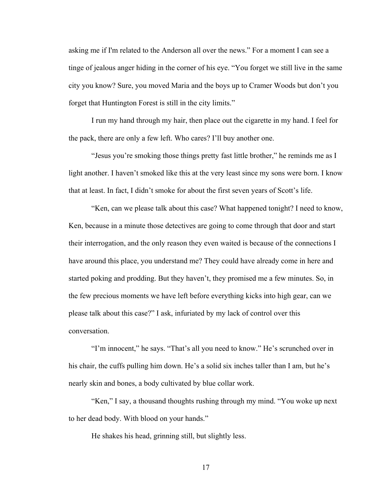asking me if I'm related to the Anderson all over the news." For a moment I can see a tinge of jealous anger hiding in the corner of his eye. "You forget we still live in the same city you know? Sure, you moved Maria and the boys up to Cramer Woods but don't you forget that Huntington Forest is still in the city limits."

 I run my hand through my hair, then place out the cigarette in my hand. I feel for the pack, there are only a few left. Who cares? I'll buy another one.

"Jesus you're smoking those things pretty fast little brother," he reminds me as I light another. I haven't smoked like this at the very least since my sons were born. I know that at least. In fact, I didn't smoke for about the first seven years of Scott's life.

"Ken, can we please talk about this case? What happened tonight? I need to know, Ken, because in a minute those detectives are going to come through that door and start their interrogation, and the only reason they even waited is because of the connections I have around this place, you understand me? They could have already come in here and started poking and prodding. But they haven't, they promised me a few minutes. So, in the few precious moments we have left before everything kicks into high gear, can we please talk about this case?" I ask, infuriated by my lack of control over this conversation.

"I'm innocent," he says. "That's all you need to know." He's scrunched over in his chair, the cuffs pulling him down. He's a solid six inches taller than I am, but he's nearly skin and bones, a body cultivated by blue collar work.

"Ken," I say, a thousand thoughts rushing through my mind. "You woke up next to her dead body. With blood on your hands."

He shakes his head, grinning still, but slightly less.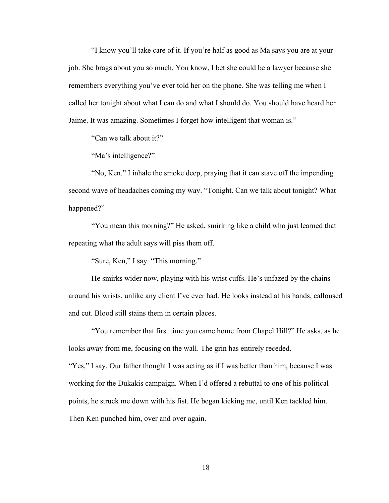"I know you'll take care of it. If you're half as good as Ma says you are at your job. She brags about you so much. You know, I bet she could be a lawyer because she remembers everything you've ever told her on the phone. She was telling me when I called her tonight about what I can do and what I should do. You should have heard her Jaime. It was amazing. Sometimes I forget how intelligent that woman is."

"Can we talk about it?"

"Ma's intelligence?"

 "No, Ken." I inhale the smoke deep, praying that it can stave off the impending second wave of headaches coming my way. "Tonight. Can we talk about tonight? What happened?"

 "You mean this morning?" He asked, smirking like a child who just learned that repeating what the adult says will piss them off.

"Sure, Ken," I say. "This morning."

 He smirks wider now, playing with his wrist cuffs. He's unfazed by the chains around his wrists, unlike any client I've ever had. He looks instead at his hands, calloused and cut. Blood still stains them in certain places.

 "You remember that first time you came home from Chapel Hill?" He asks, as he looks away from me, focusing on the wall. The grin has entirely receded. "Yes," I say. Our father thought I was acting as if I was better than him, because I was working for the Dukakis campaign. When I'd offered a rebuttal to one of his political points, he struck me down with his fist. He began kicking me, until Ken tackled him. Then Ken punched him, over and over again.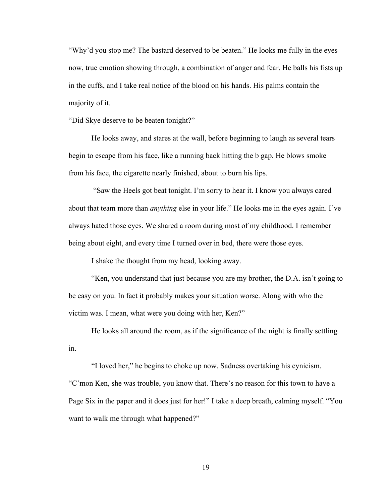"Why'd you stop me? The bastard deserved to be beaten." He looks me fully in the eyes now, true emotion showing through, a combination of anger and fear. He balls his fists up in the cuffs, and I take real notice of the blood on his hands. His palms contain the majority of it.

"Did Skye deserve to be beaten tonight?"

He looks away, and stares at the wall, before beginning to laugh as several tears begin to escape from his face, like a running back hitting the b gap. He blows smoke from his face, the cigarette nearly finished, about to burn his lips.

"Saw the Heels got beat tonight. I'm sorry to hear it. I know you always cared about that team more than *anything* else in your life." He looks me in the eyes again. I've always hated those eyes. We shared a room during most of my childhood. I remember being about eight, and every time I turned over in bed, there were those eyes.

I shake the thought from my head, looking away.

 "Ken, you understand that just because you are my brother, the D.A. isn't going to be easy on you. In fact it probably makes your situation worse. Along with who the victim was. I mean, what were you doing with her, Ken?"

 He looks all around the room, as if the significance of the night is finally settling in.

 "I loved her," he begins to choke up now. Sadness overtaking his cynicism. "C'mon Ken, she was trouble, you know that. There's no reason for this town to have a Page Six in the paper and it does just for her!" I take a deep breath, calming myself. "You want to walk me through what happened?"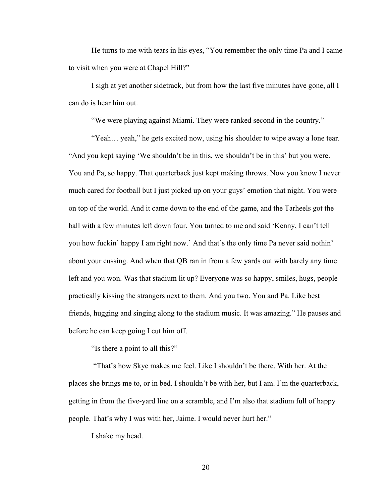He turns to me with tears in his eyes, "You remember the only time Pa and I came to visit when you were at Chapel Hill?"

 I sigh at yet another sidetrack, but from how the last five minutes have gone, all I can do is hear him out.

"We were playing against Miami. They were ranked second in the country."

 "Yeah… yeah," he gets excited now, using his shoulder to wipe away a lone tear. "And you kept saying 'We shouldn't be in this, we shouldn't be in this' but you were. You and Pa, so happy. That quarterback just kept making throws. Now you know I never much cared for football but I just picked up on your guys' emotion that night. You were on top of the world. And it came down to the end of the game, and the Tarheels got the ball with a few minutes left down four. You turned to me and said 'Kenny, I can't tell you how fuckin' happy I am right now.' And that's the only time Pa never said nothin' about your cussing. And when that QB ran in from a few yards out with barely any time left and you won. Was that stadium lit up? Everyone was so happy, smiles, hugs, people practically kissing the strangers next to them. And you two. You and Pa. Like best friends, hugging and singing along to the stadium music. It was amazing." He pauses and before he can keep going I cut him off.

"Is there a point to all this?"

 "That's how Skye makes me feel. Like I shouldn't be there. With her. At the places she brings me to, or in bed. I shouldn't be with her, but I am. I'm the quarterback, getting in from the five-yard line on a scramble, and I'm also that stadium full of happy people. That's why I was with her, Jaime. I would never hurt her."

I shake my head.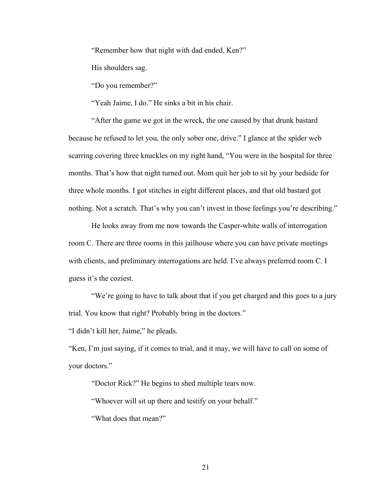"Remember how that night with dad ended, Ken?"

His shoulders sag.

"Do you remember?"

"Yeah Jaime, I do." He sinks a bit in his chair.

 "After the game we got in the wreck, the one caused by that drunk bastard because he refused to let you, the only sober one, drive." I glance at the spider web scarring covering three knuckles on my right hand, "You were in the hospital for three months. That's how that night turned out. Mom quit her job to sit by your bedside for three whole months. I got stitches in eight different places, and that old bastard got nothing. Not a scratch. That's why you can't invest in those feelings you're describing."

 He looks away from me now towards the Casper-white walls of interrogation room C. There are three rooms in this jailhouse where you can have private meetings with clients, and preliminary interrogations are held. I've always preferred room C. I guess it's the coziest.

 "We're going to have to talk about that if you get charged and this goes to a jury trial. You know that right? Probably bring in the doctors."

"I didn't kill her, Jaime," he pleads.

"Ken, I'm just saying, if it comes to trial, and it may, we will have to call on some of your doctors."

"Doctor Rick?" He begins to shed multiple tears now.

"Whoever will sit up there and testify on your behalf."

"What does that mean?"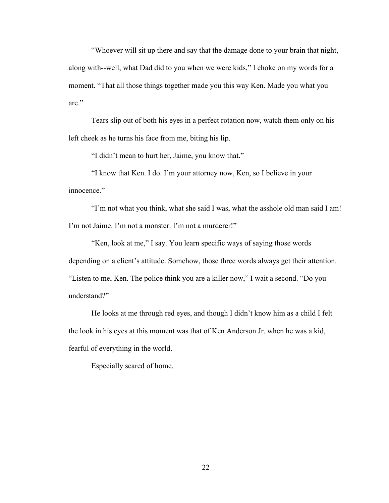"Whoever will sit up there and say that the damage done to your brain that night, along with--well, what Dad did to you when we were kids," I choke on my words for a moment. "That all those things together made you this way Ken. Made you what you are."

 Tears slip out of both his eyes in a perfect rotation now, watch them only on his left cheek as he turns his face from me, biting his lip.

"I didn't mean to hurt her, Jaime, you know that."

 "I know that Ken. I do. I'm your attorney now, Ken, so I believe in your innocence."

 "I'm not what you think, what she said I was, what the asshole old man said I am! I'm not Jaime. I'm not a monster. I'm not a murderer!"

 "Ken, look at me," I say. You learn specific ways of saying those words depending on a client's attitude. Somehow, those three words always get their attention. "Listen to me, Ken. The police think you are a killer now," I wait a second. "Do you understand?"

 He looks at me through red eyes, and though I didn't know him as a child I felt the look in his eyes at this moment was that of Ken Anderson Jr. when he was a kid, fearful of everything in the world.

Especially scared of home.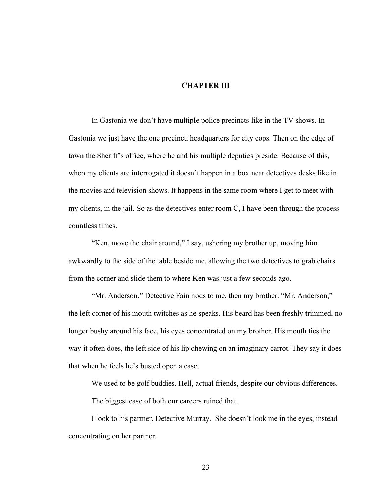#### **CHAPTER III**

In Gastonia we don't have multiple police precincts like in the TV shows. In Gastonia we just have the one precinct, headquarters for city cops. Then on the edge of town the Sheriff's office, where he and his multiple deputies preside. Because of this, when my clients are interrogated it doesn't happen in a box near detectives desks like in the movies and television shows. It happens in the same room where I get to meet with my clients, in the jail. So as the detectives enter room C, I have been through the process countless times.

 "Ken, move the chair around," I say, ushering my brother up, moving him awkwardly to the side of the table beside me, allowing the two detectives to grab chairs from the corner and slide them to where Ken was just a few seconds ago.

 "Mr. Anderson." Detective Fain nods to me, then my brother. "Mr. Anderson," the left corner of his mouth twitches as he speaks. His beard has been freshly trimmed, no longer bushy around his face, his eyes concentrated on my brother. His mouth tics the way it often does, the left side of his lip chewing on an imaginary carrot. They say it does that when he feels he's busted open a case.

We used to be golf buddies. Hell, actual friends, despite our obvious differences.

The biggest case of both our careers ruined that.

 I look to his partner, Detective Murray. She doesn't look me in the eyes, instead concentrating on her partner.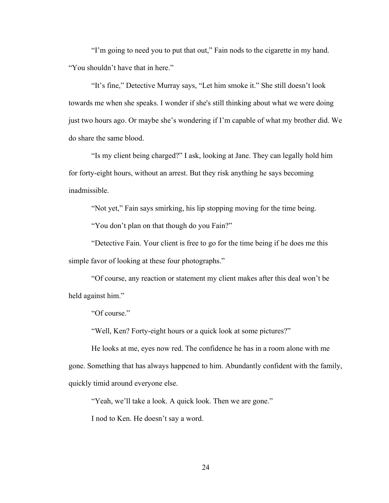"I'm going to need you to put that out," Fain nods to the cigarette in my hand. "You shouldn't have that in here."

 "It's fine," Detective Murray says, "Let him smoke it." She still doesn't look towards me when she speaks. I wonder if she's still thinking about what we were doing just two hours ago. Or maybe she's wondering if I'm capable of what my brother did. We do share the same blood.

 "Is my client being charged?" I ask, looking at Jane. They can legally hold him for forty-eight hours, without an arrest. But they risk anything he says becoming inadmissible.

 "Not yet," Fain says smirking, his lip stopping moving for the time being. "You don't plan on that though do you Fain?"

 "Detective Fain. Your client is free to go for the time being if he does me this simple favor of looking at these four photographs."

 "Of course, any reaction or statement my client makes after this deal won't be held against him."

"Of course."

"Well, Ken? Forty-eight hours or a quick look at some pictures?"

 He looks at me, eyes now red. The confidence he has in a room alone with me gone. Something that has always happened to him. Abundantly confident with the family, quickly timid around everyone else.

"Yeah, we'll take a look. A quick look. Then we are gone."

I nod to Ken. He doesn't say a word.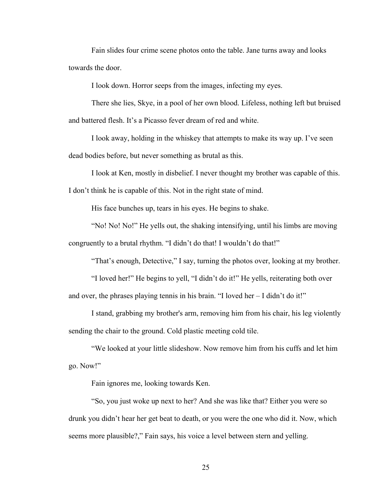Fain slides four crime scene photos onto the table. Jane turns away and looks towards the door.

I look down. Horror seeps from the images, infecting my eyes.

There she lies, Skye, in a pool of her own blood. Lifeless, nothing left but bruised and battered flesh. It's a Picasso fever dream of red and white.

 I look away, holding in the whiskey that attempts to make its way up. I've seen dead bodies before, but never something as brutal as this.

 I look at Ken, mostly in disbelief. I never thought my brother was capable of this. I don't think he is capable of this. Not in the right state of mind.

His face bunches up, tears in his eyes. He begins to shake.

 "No! No! No!" He yells out, the shaking intensifying, until his limbs are moving congruently to a brutal rhythm. "I didn't do that! I wouldn't do that!"

"That's enough, Detective," I say, turning the photos over, looking at my brother.

 "I loved her!" He begins to yell, "I didn't do it!" He yells, reiterating both over and over, the phrases playing tennis in his brain. "I loved her – I didn't do it!"

 I stand, grabbing my brother's arm, removing him from his chair, his leg violently sending the chair to the ground. Cold plastic meeting cold tile.

 "We looked at your little slideshow. Now remove him from his cuffs and let him go. Now!"

Fain ignores me, looking towards Ken.

 "So, you just woke up next to her? And she was like that? Either you were so drunk you didn't hear her get beat to death, or you were the one who did it. Now, which seems more plausible?," Fain says, his voice a level between stern and yelling.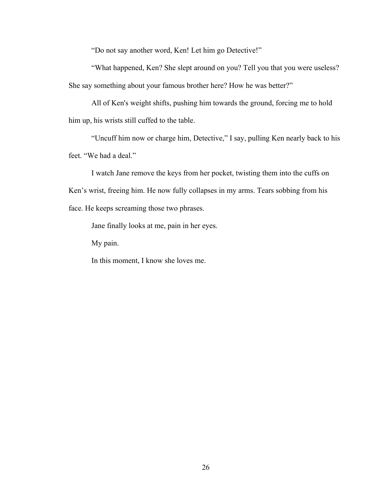"Do not say another word, Ken! Let him go Detective!"

 "What happened, Ken? She slept around on you? Tell you that you were useless? She say something about your famous brother here? How he was better?"

 All of Ken's weight shifts, pushing him towards the ground, forcing me to hold him up, his wrists still cuffed to the table.

 "Uncuff him now or charge him, Detective," I say, pulling Ken nearly back to his feet. "We had a deal."

 I watch Jane remove the keys from her pocket, twisting them into the cuffs on Ken's wrist, freeing him. He now fully collapses in my arms. Tears sobbing from his face. He keeps screaming those two phrases.

Jane finally looks at me, pain in her eyes.

My pain.

In this moment, I know she loves me.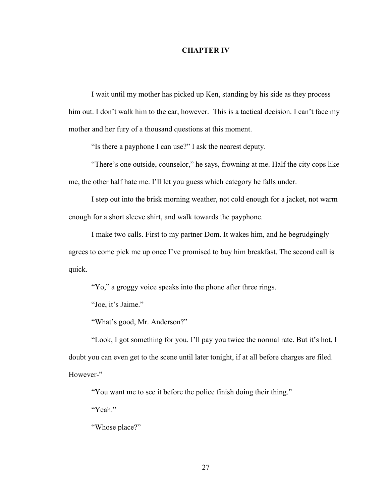#### **CHAPTER IV**

I wait until my mother has picked up Ken, standing by his side as they process him out. I don't walk him to the car, however. This is a tactical decision. I can't face my mother and her fury of a thousand questions at this moment.

"Is there a payphone I can use?" I ask the nearest deputy.

"There's one outside, counselor," he says, frowning at me. Half the city cops like me, the other half hate me. I'll let you guess which category he falls under.

I step out into the brisk morning weather, not cold enough for a jacket, not warm enough for a short sleeve shirt, and walk towards the payphone.

I make two calls. First to my partner Dom. It wakes him, and he begrudgingly agrees to come pick me up once I've promised to buy him breakfast. The second call is quick.

"Yo," a groggy voice speaks into the phone after three rings.

"Joe, it's Jaime."

"What's good, Mr. Anderson?"

"Look, I got something for you. I'll pay you twice the normal rate. But it's hot, I doubt you can even get to the scene until later tonight, if at all before charges are filed. However-"

"You want me to see it before the police finish doing their thing."

"Yeah."

"Whose place?"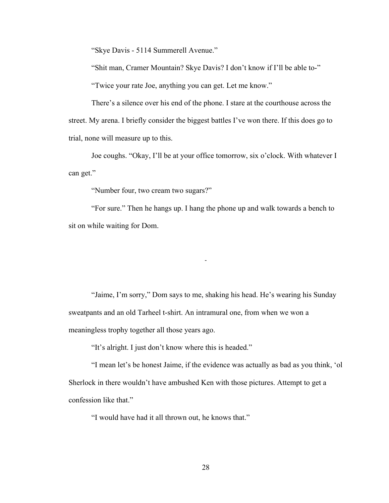"Skye Davis - 5114 Summerell Avenue."

"Shit man, Cramer Mountain? Skye Davis? I don't know if I'll be able to-"

"Twice your rate Joe, anything you can get. Let me know."

There's a silence over his end of the phone. I stare at the courthouse across the street. My arena. I briefly consider the biggest battles I've won there. If this does go to trial, none will measure up to this.

Joe coughs. "Okay, I'll be at your office tomorrow, six o'clock. With whatever I can get."

"Number four, two cream two sugars?"

"For sure." Then he hangs up. I hang the phone up and walk towards a bench to sit on while waiting for Dom.

-

"Jaime, I'm sorry," Dom says to me, shaking his head. He's wearing his Sunday sweatpants and an old Tarheel t-shirt. An intramural one, from when we won a meaningless trophy together all those years ago.

"It's alright. I just don't know where this is headed."

 "I mean let's be honest Jaime, if the evidence was actually as bad as you think, 'ol Sherlock in there wouldn't have ambushed Ken with those pictures. Attempt to get a confession like that."

"I would have had it all thrown out, he knows that."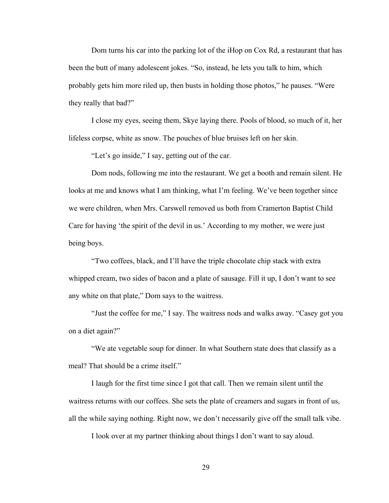Dom turns his car into the parking lot of the iHop on Cox Rd, a restaurant that has been the butt of many adolescent jokes. "So, instead, he lets you talk to him, which probably gets him more riled up, then busts in holding those photos," he pauses. "Were they really that bad?"

 I close my eyes, seeing them, Skye laying there. Pools of blood, so much of it, her lifeless corpse, white as snow. The pouches of blue bruises left on her skin.

"Let's go inside," I say, getting out of the car.

 Dom nods, following me into the restaurant. We get a booth and remain silent. He looks at me and knows what I am thinking, what I'm feeling. We've been together since we were children, when Mrs. Carswell removed us both from Cramerton Baptist Child Care for having 'the spirit of the devil in us.' According to my mother, we were just being boys.

 "Two coffees, black, and I'll have the triple chocolate chip stack with extra whipped cream, two sides of bacon and a plate of sausage. Fill it up, I don't want to see any white on that plate," Dom says to the waitress.

 "Just the coffee for me," I say. The waitress nods and walks away. "Casey got you on a diet again?"

 "We ate vegetable soup for dinner. In what Southern state does that classify as a meal? That should be a crime itself."

 I laugh for the first time since I got that call. Then we remain silent until the waitress returns with our coffees. She sets the plate of creamers and sugars in front of us, all the while saying nothing. Right now, we don't necessarily give off the small talk vibe.

I look over at my partner thinking about things I don't want to say aloud.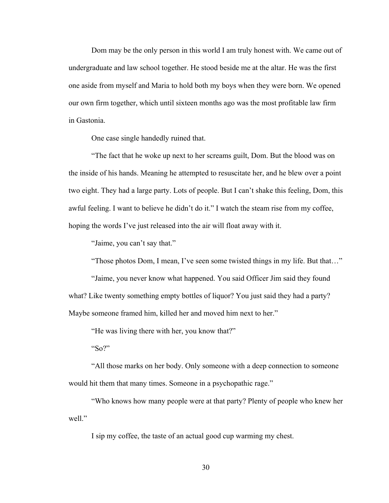Dom may be the only person in this world I am truly honest with. We came out of undergraduate and law school together. He stood beside me at the altar. He was the first one aside from myself and Maria to hold both my boys when they were born. We opened our own firm together, which until sixteen months ago was the most profitable law firm in Gastonia.

One case single handedly ruined that.

 "The fact that he woke up next to her screams guilt, Dom. But the blood was on the inside of his hands. Meaning he attempted to resuscitate her, and he blew over a point two eight. They had a large party. Lots of people. But I can't shake this feeling, Dom, this awful feeling. I want to believe he didn't do it." I watch the steam rise from my coffee, hoping the words I've just released into the air will float away with it.

"Jaime, you can't say that."

"Those photos Dom, I mean, I've seen some twisted things in my life. But that…"

 "Jaime, you never know what happened. You said Officer Jim said they found what? Like twenty something empty bottles of liquor? You just said they had a party? Maybe someone framed him, killed her and moved him next to her."

"He was living there with her, you know that?"

"So?"

 "All those marks on her body. Only someone with a deep connection to someone would hit them that many times. Someone in a psychopathic rage."

 "Who knows how many people were at that party? Plenty of people who knew her well."

I sip my coffee, the taste of an actual good cup warming my chest.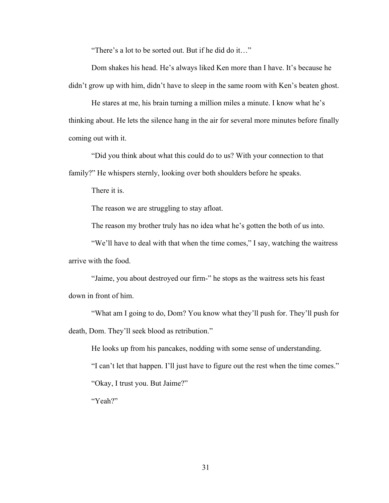"There's a lot to be sorted out. But if he did do it…"

 Dom shakes his head. He's always liked Ken more than I have. It's because he didn't grow up with him, didn't have to sleep in the same room with Ken's beaten ghost.

 He stares at me, his brain turning a million miles a minute. I know what he's thinking about. He lets the silence hang in the air for several more minutes before finally coming out with it.

 "Did you think about what this could do to us? With your connection to that family?" He whispers sternly, looking over both shoulders before he speaks.

There it is.

The reason we are struggling to stay afloat.

The reason my brother truly has no idea what he's gotten the both of us into.

 "We'll have to deal with that when the time comes," I say, watching the waitress arrive with the food.

 "Jaime, you about destroyed our firm-" he stops as the waitress sets his feast down in front of him.

 "What am I going to do, Dom? You know what they'll push for. They'll push for death, Dom. They'll seek blood as retribution."

 He looks up from his pancakes, nodding with some sense of understanding. "I can't let that happen. I'll just have to figure out the rest when the time comes." "Okay, I trust you. But Jaime?" "Yeah?"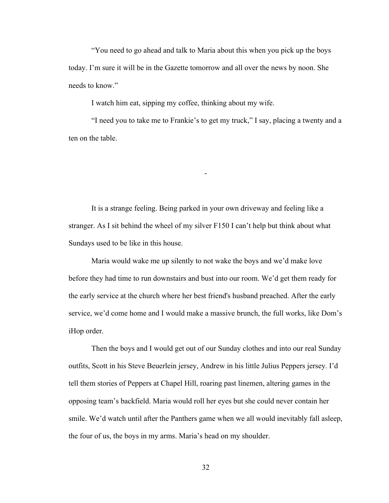"You need to go ahead and talk to Maria about this when you pick up the boys today. I'm sure it will be in the Gazette tomorrow and all over the news by noon. She needs to know."

I watch him eat, sipping my coffee, thinking about my wife.

 "I need you to take me to Frankie's to get my truck," I say, placing a twenty and a ten on the table.

-

 It is a strange feeling. Being parked in your own driveway and feeling like a stranger. As I sit behind the wheel of my silver F150 I can't help but think about what Sundays used to be like in this house.

 Maria would wake me up silently to not wake the boys and we'd make love before they had time to run downstairs and bust into our room. We'd get them ready for the early service at the church where her best friend's husband preached. After the early service, we'd come home and I would make a massive brunch, the full works, like Dom's iHop order.

 Then the boys and I would get out of our Sunday clothes and into our real Sunday outfits, Scott in his Steve Beuerlein jersey, Andrew in his little Julius Peppers jersey. I'd tell them stories of Peppers at Chapel Hill, roaring past linemen, altering games in the opposing team's backfield. Maria would roll her eyes but she could never contain her smile. We'd watch until after the Panthers game when we all would inevitably fall asleep, the four of us, the boys in my arms. Maria's head on my shoulder.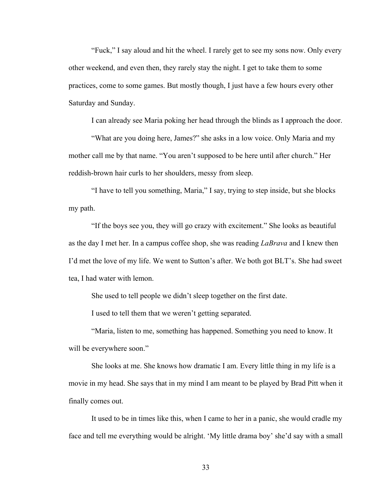"Fuck," I say aloud and hit the wheel. I rarely get to see my sons now. Only every other weekend, and even then, they rarely stay the night. I get to take them to some practices, come to some games. But mostly though, I just have a few hours every other Saturday and Sunday.

I can already see Maria poking her head through the blinds as I approach the door.

 "What are you doing here, James?" she asks in a low voice. Only Maria and my mother call me by that name. "You aren't supposed to be here until after church." Her reddish-brown hair curls to her shoulders, messy from sleep.

 "I have to tell you something, Maria," I say, trying to step inside, but she blocks my path.

 "If the boys see you, they will go crazy with excitement." She looks as beautiful as the day I met her. In a campus coffee shop, she was reading *LaBrava* and I knew then I'd met the love of my life. We went to Sutton's after. We both got BLT's. She had sweet tea, I had water with lemon.

She used to tell people we didn't sleep together on the first date.

I used to tell them that we weren't getting separated.

 "Maria, listen to me, something has happened. Something you need to know. It will be everywhere soon."

 She looks at me. She knows how dramatic I am. Every little thing in my life is a movie in my head. She says that in my mind I am meant to be played by Brad Pitt when it finally comes out.

It used to be in times like this, when I came to her in a panic, she would cradle my face and tell me everything would be alright. 'My little drama boy' she'd say with a small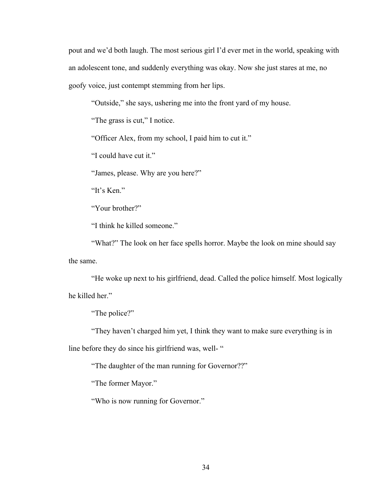pout and we'd both laugh. The most serious girl I'd ever met in the world, speaking with an adolescent tone, and suddenly everything was okay. Now she just stares at me, no goofy voice, just contempt stemming from her lips.

"Outside," she says, ushering me into the front yard of my house.

"The grass is cut," I notice.

"Officer Alex, from my school, I paid him to cut it."

"I could have cut it."

"James, please. Why are you here?"

"It's Ken."

"Your brother?"

"I think he killed someone."

"What?" The look on her face spells horror. Maybe the look on mine should say the same.

 "He woke up next to his girlfriend, dead. Called the police himself. Most logically he killed her."

"The police?"

"They haven't charged him yet, I think they want to make sure everything is in

line before they do since his girlfriend was, well- "

"The daughter of the man running for Governor??"

"The former Mayor."

"Who is now running for Governor."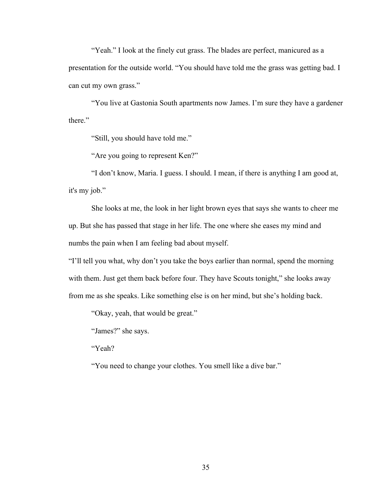"Yeah." I look at the finely cut grass. The blades are perfect, manicured as a

presentation for the outside world. "You should have told me the grass was getting bad. I can cut my own grass."

 "You live at Gastonia South apartments now James. I'm sure they have a gardener there."

"Still, you should have told me."

"Are you going to represent Ken?"

 "I don't know, Maria. I guess. I should. I mean, if there is anything I am good at, it's my job."

 She looks at me, the look in her light brown eyes that says she wants to cheer me up. But she has passed that stage in her life. The one where she eases my mind and numbs the pain when I am feeling bad about myself.

"I'll tell you what, why don't you take the boys earlier than normal, spend the morning with them. Just get them back before four. They have Scouts tonight," she looks away from me as she speaks. Like something else is on her mind, but she's holding back.

"Okay, yeah, that would be great."

"James?" she says.

"Yeah?

"You need to change your clothes. You smell like a dive bar."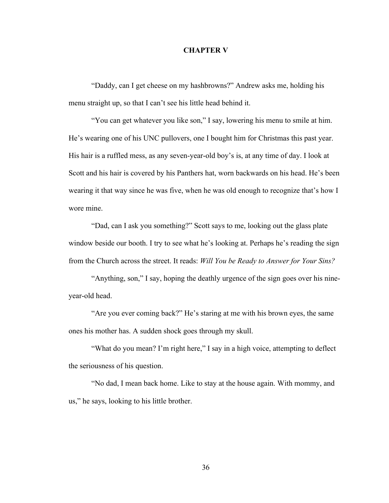## **CHAPTER V**

"Daddy, can I get cheese on my hashbrowns?" Andrew asks me, holding his menu straight up, so that I can't see his little head behind it.

"You can get whatever you like son," I say, lowering his menu to smile at him. He's wearing one of his UNC pullovers, one I bought him for Christmas this past year. His hair is a ruffled mess, as any seven-year-old boy's is, at any time of day. I look at Scott and his hair is covered by his Panthers hat, worn backwards on his head. He's been wearing it that way since he was five, when he was old enough to recognize that's how I wore mine.

"Dad, can I ask you something?" Scott says to me, looking out the glass plate window beside our booth. I try to see what he's looking at. Perhaps he's reading the sign from the Church across the street. It reads: *Will You be Ready to Answer for Your Sins?*

"Anything, son," I say, hoping the deathly urgence of the sign goes over his nineyear-old head.

"Are you ever coming back?" He's staring at me with his brown eyes, the same ones his mother has. A sudden shock goes through my skull.

"What do you mean? I'm right here," I say in a high voice, attempting to deflect the seriousness of his question.

"No dad, I mean back home. Like to stay at the house again. With mommy, and us," he says, looking to his little brother.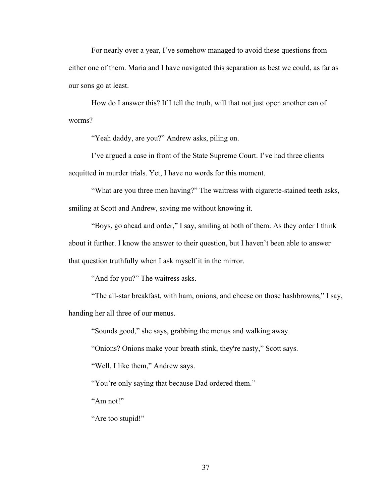For nearly over a year, I've somehow managed to avoid these questions from either one of them. Maria and I have navigated this separation as best we could, as far as our sons go at least.

How do I answer this? If I tell the truth, will that not just open another can of worms?

"Yeah daddy, are you?" Andrew asks, piling on.

I've argued a case in front of the State Supreme Court. I've had three clients acquitted in murder trials. Yet, I have no words for this moment.

"What are you three men having?" The waitress with cigarette-stained teeth asks, smiling at Scott and Andrew, saving me without knowing it.

"Boys, go ahead and order," I say, smiling at both of them. As they order I think about it further. I know the answer to their question, but I haven't been able to answer that question truthfully when I ask myself it in the mirror.

"And for you?" The waitress asks.

"The all-star breakfast, with ham, onions, and cheese on those hashbrowns," I say, handing her all three of our menus.

"Sounds good," she says, grabbing the menus and walking away.

"Onions? Onions make your breath stink, they're nasty," Scott says.

"Well, I like them," Andrew says.

"You're only saying that because Dad ordered them."

"Am not!"

"Are too stupid!"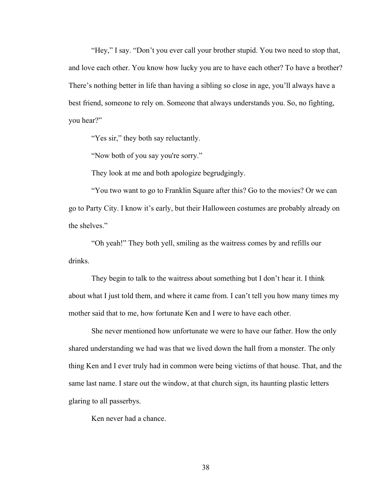"Hey," I say. "Don't you ever call your brother stupid. You two need to stop that, and love each other. You know how lucky you are to have each other? To have a brother? There's nothing better in life than having a sibling so close in age, you'll always have a best friend, someone to rely on. Someone that always understands you. So, no fighting, you hear?"

"Yes sir," they both say reluctantly.

"Now both of you say you're sorry."

They look at me and both apologize begrudgingly.

"You two want to go to Franklin Square after this? Go to the movies? Or we can go to Party City. I know it's early, but their Halloween costumes are probably already on the shelves."

"Oh yeah!" They both yell, smiling as the waitress comes by and refills our drinks.

They begin to talk to the waitress about something but I don't hear it. I think about what I just told them, and where it came from. I can't tell you how many times my mother said that to me, how fortunate Ken and I were to have each other.

She never mentioned how unfortunate we were to have our father. How the only shared understanding we had was that we lived down the hall from a monster. The only thing Ken and I ever truly had in common were being victims of that house. That, and the same last name. I stare out the window, at that church sign, its haunting plastic letters glaring to all passerbys.

Ken never had a chance.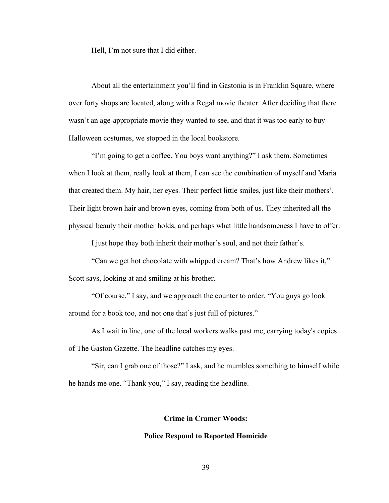Hell, I'm not sure that I did either.

About all the entertainment you'll find in Gastonia is in Franklin Square, where over forty shops are located, along with a Regal movie theater. After deciding that there wasn't an age-appropriate movie they wanted to see, and that it was too early to buy Halloween costumes, we stopped in the local bookstore.

"I'm going to get a coffee. You boys want anything?" I ask them. Sometimes when I look at them, really look at them, I can see the combination of myself and Maria that created them. My hair, her eyes. Their perfect little smiles, just like their mothers'. Their light brown hair and brown eyes, coming from both of us. They inherited all the physical beauty their mother holds, and perhaps what little handsomeness I have to offer.

I just hope they both inherit their mother's soul, and not their father's.

"Can we get hot chocolate with whipped cream? That's how Andrew likes it," Scott says, looking at and smiling at his brother.

"Of course," I say, and we approach the counter to order. "You guys go look around for a book too, and not one that's just full of pictures."

As I wait in line, one of the local workers walks past me, carrying today's copies of The Gaston Gazette. The headline catches my eyes.

"Sir, can I grab one of those?" I ask, and he mumbles something to himself while he hands me one. "Thank you," I say, reading the headline.

# **Crime in Cramer Woods:**

# **Police Respond to Reported Homicide**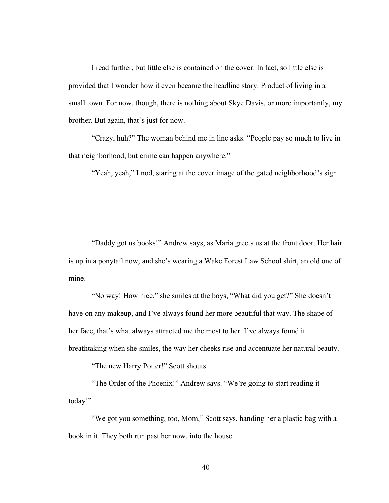I read further, but little else is contained on the cover. In fact, so little else is provided that I wonder how it even became the headline story. Product of living in a small town. For now, though, there is nothing about Skye Davis, or more importantly, my brother. But again, that's just for now.

"Crazy, huh?" The woman behind me in line asks. "People pay so much to live in that neighborhood, but crime can happen anywhere."

"Yeah, yeah," I nod, staring at the cover image of the gated neighborhood's sign.

-

"Daddy got us books!" Andrew says, as Maria greets us at the front door. Her hair is up in a ponytail now, and she's wearing a Wake Forest Law School shirt, an old one of mine.

"No way! How nice," she smiles at the boys, "What did you get?" She doesn't have on any makeup, and I've always found her more beautiful that way. The shape of her face, that's what always attracted me the most to her. I've always found it breathtaking when she smiles, the way her cheeks rise and accentuate her natural beauty.

"The new Harry Potter!" Scott shouts.

"The Order of the Phoenix!" Andrew says. "We're going to start reading it today!"

"We got you something, too, Mom," Scott says, handing her a plastic bag with a book in it. They both run past her now, into the house.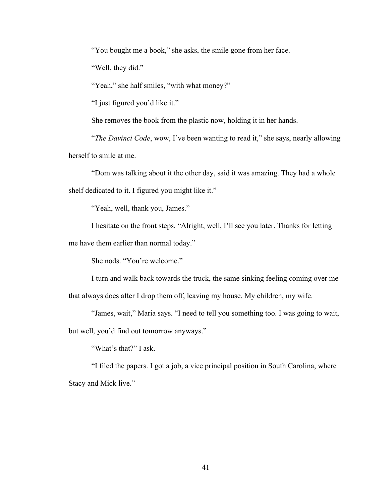"You bought me a book," she asks, the smile gone from her face.

"Well, they did."

"Yeah," she half smiles, "with what money?"

"I just figured you'd like it."

She removes the book from the plastic now, holding it in her hands.

"*The Davinci Code*, wow, I've been wanting to read it," she says, nearly allowing herself to smile at me.

"Dom was talking about it the other day, said it was amazing. They had a whole shelf dedicated to it. I figured you might like it."

"Yeah, well, thank you, James."

I hesitate on the front steps. "Alright, well, I'll see you later. Thanks for letting me have them earlier than normal today."

She nods. "You're welcome."

I turn and walk back towards the truck, the same sinking feeling coming over me that always does after I drop them off, leaving my house. My children, my wife.

"James, wait," Maria says. "I need to tell you something too. I was going to wait, but well, you'd find out tomorrow anyways."

"What's that?" I ask.

 "I filed the papers. I got a job, a vice principal position in South Carolina, where Stacy and Mick live."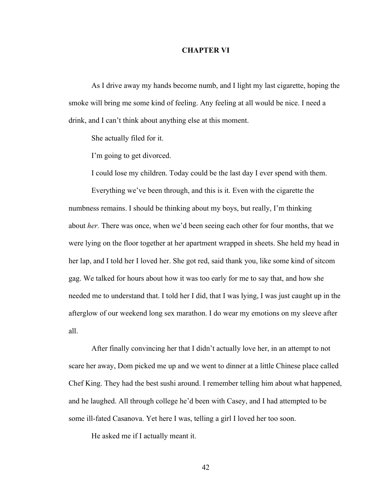## **CHAPTER VI**

As I drive away my hands become numb, and I light my last cigarette, hoping the smoke will bring me some kind of feeling. Any feeling at all would be nice. I need a drink, and I can't think about anything else at this moment.

She actually filed for it.

I'm going to get divorced.

I could lose my children. Today could be the last day I ever spend with them.

Everything we've been through, and this is it. Even with the cigarette the numbness remains. I should be thinking about my boys, but really, I'm thinking about *her.* There was once, when we'd been seeing each other for four months, that we were lying on the floor together at her apartment wrapped in sheets. She held my head in her lap, and I told her I loved her. She got red, said thank you, like some kind of sitcom gag. We talked for hours about how it was too early for me to say that, and how she needed me to understand that. I told her I did, that I was lying, I was just caught up in the afterglow of our weekend long sex marathon. I do wear my emotions on my sleeve after all.

After finally convincing her that I didn't actually love her, in an attempt to not scare her away, Dom picked me up and we went to dinner at a little Chinese place called Chef King. They had the best sushi around. I remember telling him about what happened, and he laughed. All through college he'd been with Casey, and I had attempted to be some ill-fated Casanova. Yet here I was, telling a girl I loved her too soon.

He asked me if I actually meant it.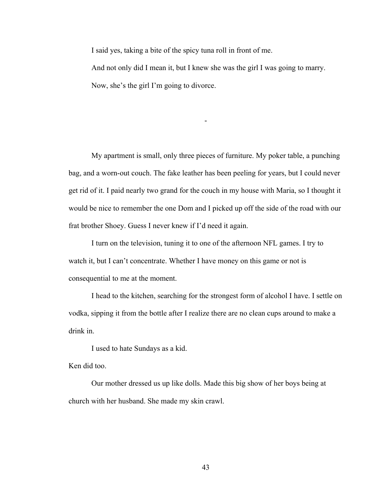I said yes, taking a bite of the spicy tuna roll in front of me.

And not only did I mean it, but I knew she was the girl I was going to marry. Now, she's the girl I'm going to divorce.

-

My apartment is small, only three pieces of furniture. My poker table, a punching bag, and a worn-out couch. The fake leather has been peeling for years, but I could never get rid of it. I paid nearly two grand for the couch in my house with Maria, so I thought it would be nice to remember the one Dom and I picked up off the side of the road with our frat brother Shoey. Guess I never knew if I'd need it again.

 I turn on the television, tuning it to one of the afternoon NFL games. I try to watch it, but I can't concentrate. Whether I have money on this game or not is consequential to me at the moment.

I head to the kitchen, searching for the strongest form of alcohol I have. I settle on vodka, sipping it from the bottle after I realize there are no clean cups around to make a drink in.

I used to hate Sundays as a kid.

Ken did too.

 Our mother dressed us up like dolls. Made this big show of her boys being at church with her husband. She made my skin crawl.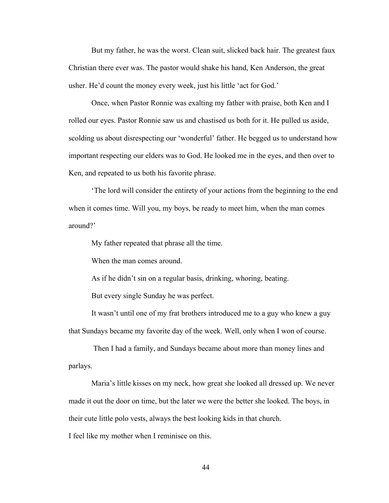But my father, he was the worst. Clean suit, slicked back hair. The greatest faux Christian there ever was. The pastor would shake his hand, Ken Anderson, the great usher. He'd count the money every week, just his little 'act for God.'

 Once, when Pastor Ronnie was exalting my father with praise, both Ken and I rolled our eyes. Pastor Ronnie saw us and chastised us both for it. He pulled us aside, scolding us about disrespecting our 'wonderful' father. He begged us to understand how important respecting our elders was to God. He looked me in the eyes, and then over to Ken, and repeated to us both his favorite phrase.

 'The lord will consider the entirety of your actions from the beginning to the end when it comes time. Will you, my boys, be ready to meet him, when the man comes around?'

My father repeated that phrase all the time.

When the man comes around.

As if he didn't sin on a regular basis, drinking, whoring, beating.

But every single Sunday he was perfect.

 It wasn't until one of my frat brothers introduced me to a guy who knew a guy that Sundays became my favorite day of the week. Well, only when I won of course.

 Then I had a family, and Sundays became about more than money lines and parlays.

Maria's little kisses on my neck, how great she looked all dressed up. We never made it out the door on time, but the later we were the better she looked. The boys, in their cute little polo vests, always the best looking kids in that church.

I feel like my mother when I reminisce on this.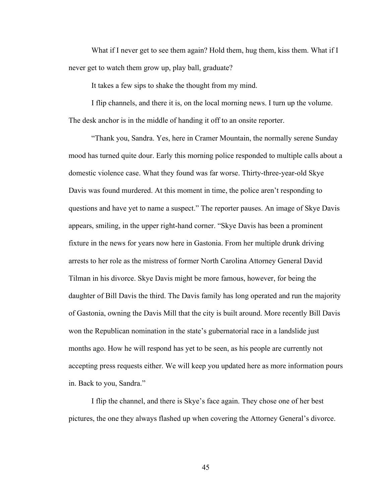What if I never get to see them again? Hold them, hug them, kiss them. What if I never get to watch them grow up, play ball, graduate?

It takes a few sips to shake the thought from my mind.

I flip channels, and there it is, on the local morning news. I turn up the volume. The desk anchor is in the middle of handing it off to an onsite reporter.

"Thank you, Sandra. Yes, here in Cramer Mountain, the normally serene Sunday mood has turned quite dour. Early this morning police responded to multiple calls about a domestic violence case. What they found was far worse. Thirty-three-year-old Skye Davis was found murdered. At this moment in time, the police aren't responding to questions and have yet to name a suspect." The reporter pauses. An image of Skye Davis appears, smiling, in the upper right-hand corner. "Skye Davis has been a prominent fixture in the news for years now here in Gastonia. From her multiple drunk driving arrests to her role as the mistress of former North Carolina Attorney General David Tilman in his divorce. Skye Davis might be more famous, however, for being the daughter of Bill Davis the third. The Davis family has long operated and run the majority of Gastonia, owning the Davis Mill that the city is built around. More recently Bill Davis won the Republican nomination in the state's gubernatorial race in a landslide just months ago. How he will respond has yet to be seen, as his people are currently not accepting press requests either. We will keep you updated here as more information pours in. Back to you, Sandra."

I flip the channel, and there is Skye's face again. They chose one of her best pictures, the one they always flashed up when covering the Attorney General's divorce.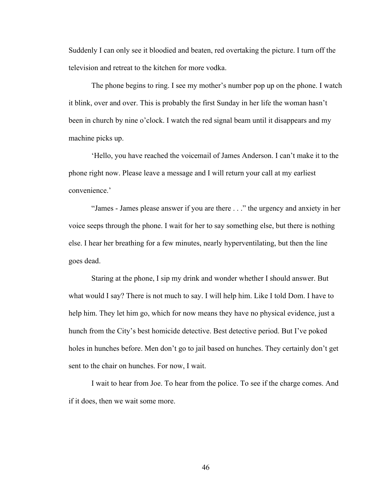Suddenly I can only see it bloodied and beaten, red overtaking the picture. I turn off the television and retreat to the kitchen for more vodka.

The phone begins to ring. I see my mother's number pop up on the phone. I watch it blink, over and over. This is probably the first Sunday in her life the woman hasn't been in church by nine o'clock. I watch the red signal beam until it disappears and my machine picks up.

'Hello, you have reached the voicemail of James Anderson. I can't make it to the phone right now. Please leave a message and I will return your call at my earliest convenience.'

"James - James please answer if you are there . . ." the urgency and anxiety in her voice seeps through the phone. I wait for her to say something else, but there is nothing else. I hear her breathing for a few minutes, nearly hyperventilating, but then the line goes dead.

Staring at the phone, I sip my drink and wonder whether I should answer. But what would I say? There is not much to say. I will help him. Like I told Dom. I have to help him. They let him go, which for now means they have no physical evidence, just a hunch from the City's best homicide detective. Best detective period. But I've poked holes in hunches before. Men don't go to jail based on hunches. They certainly don't get sent to the chair on hunches. For now, I wait.

I wait to hear from Joe. To hear from the police. To see if the charge comes. And if it does, then we wait some more.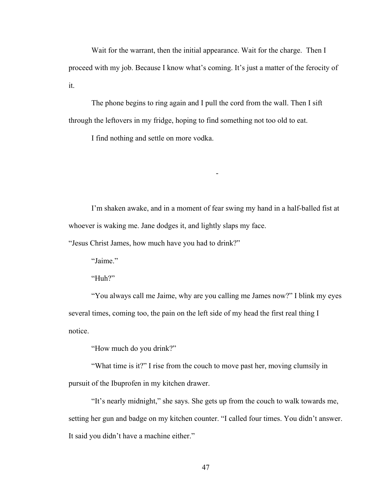Wait for the warrant, then the initial appearance. Wait for the charge. Then I proceed with my job. Because I know what's coming. It's just a matter of the ferocity of it.

The phone begins to ring again and I pull the cord from the wall. Then I sift through the leftovers in my fridge, hoping to find something not too old to eat.

I find nothing and settle on more vodka.

I'm shaken awake, and in a moment of fear swing my hand in a half-balled fist at whoever is waking me. Jane dodges it, and lightly slaps my face.

-

"Jesus Christ James, how much have you had to drink?"

"Jaime."

"Huh?"

"You always call me Jaime, why are you calling me James now?" I blink my eyes several times, coming too, the pain on the left side of my head the first real thing I notice.

"How much do you drink?"

"What time is it?" I rise from the couch to move past her, moving clumsily in pursuit of the Ibuprofen in my kitchen drawer.

"It's nearly midnight," she says. She gets up from the couch to walk towards me, setting her gun and badge on my kitchen counter. "I called four times. You didn't answer. It said you didn't have a machine either."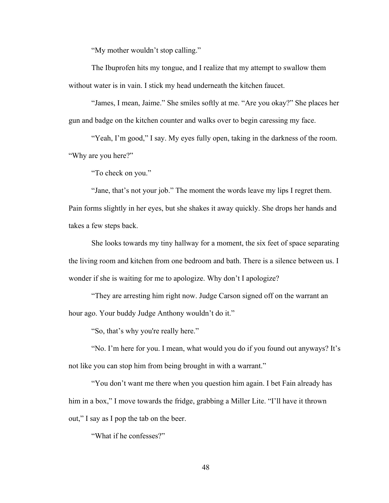"My mother wouldn't stop calling."

The Ibuprofen hits my tongue, and I realize that my attempt to swallow them without water is in vain. I stick my head underneath the kitchen faucet.

"James, I mean, Jaime." She smiles softly at me. "Are you okay?" She places her gun and badge on the kitchen counter and walks over to begin caressing my face.

"Yeah, I'm good," I say. My eyes fully open, taking in the darkness of the room. "Why are you here?"

"To check on you."

"Jane, that's not your job." The moment the words leave my lips I regret them.

Pain forms slightly in her eyes, but she shakes it away quickly. She drops her hands and takes a few steps back.

She looks towards my tiny hallway for a moment, the six feet of space separating the living room and kitchen from one bedroom and bath. There is a silence between us. I wonder if she is waiting for me to apologize. Why don't I apologize?

"They are arresting him right now. Judge Carson signed off on the warrant an hour ago. Your buddy Judge Anthony wouldn't do it."

"So, that's why you're really here."

"No. I'm here for you. I mean, what would you do if you found out anyways? It's not like you can stop him from being brought in with a warrant."

"You don't want me there when you question him again. I bet Fain already has him in a box," I move towards the fridge, grabbing a Miller Lite. "I'll have it thrown out," I say as I pop the tab on the beer.

"What if he confesses?"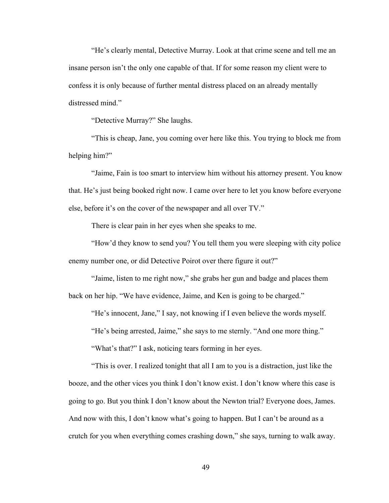"He's clearly mental, Detective Murray. Look at that crime scene and tell me an insane person isn't the only one capable of that. If for some reason my client were to confess it is only because of further mental distress placed on an already mentally distressed mind."

"Detective Murray?" She laughs.

"This is cheap, Jane, you coming over here like this. You trying to block me from helping him?"

"Jaime, Fain is too smart to interview him without his attorney present. You know that. He's just being booked right now. I came over here to let you know before everyone else, before it's on the cover of the newspaper and all over TV."

There is clear pain in her eyes when she speaks to me.

"How'd they know to send you? You tell them you were sleeping with city police enemy number one, or did Detective Poirot over there figure it out?"

"Jaime, listen to me right now," she grabs her gun and badge and places them back on her hip. "We have evidence, Jaime, and Ken is going to be charged."

"He's innocent, Jane," I say, not knowing if I even believe the words myself.

"He's being arrested, Jaime," she says to me sternly. "And one more thing."

"What's that?" I ask, noticing tears forming in her eyes.

"This is over. I realized tonight that all I am to you is a distraction, just like the booze, and the other vices you think I don't know exist. I don't know where this case is going to go. But you think I don't know about the Newton trial? Everyone does, James. And now with this, I don't know what's going to happen. But I can't be around as a crutch for you when everything comes crashing down," she says, turning to walk away.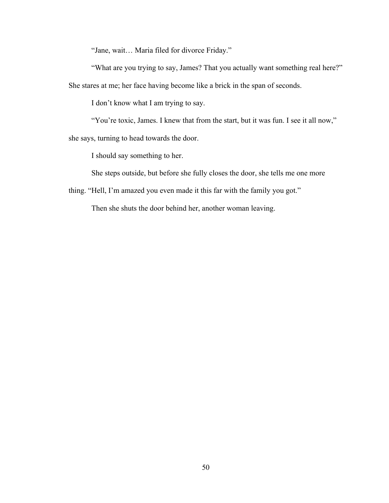"Jane, wait… Maria filed for divorce Friday."

"What are you trying to say, James? That you actually want something real here?" She stares at me; her face having become like a brick in the span of seconds.

I don't know what I am trying to say.

"You're toxic, James. I knew that from the start, but it was fun. I see it all now,"

she says, turning to head towards the door.

I should say something to her.

She steps outside, but before she fully closes the door, she tells me one more

thing. "Hell, I'm amazed you even made it this far with the family you got."

Then she shuts the door behind her, another woman leaving.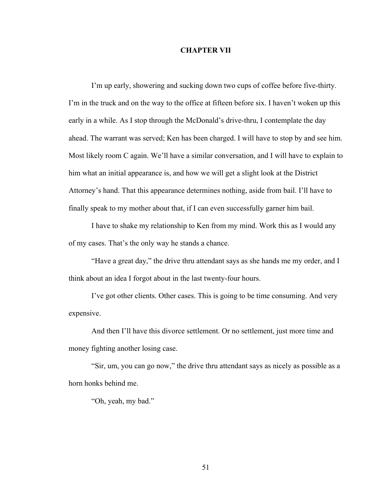# **CHAPTER VII**

I'm up early, showering and sucking down two cups of coffee before five-thirty. I'm in the truck and on the way to the office at fifteen before six. I haven't woken up this early in a while. As I stop through the McDonald's drive-thru, I contemplate the day ahead. The warrant was served; Ken has been charged. I will have to stop by and see him. Most likely room C again. We'll have a similar conversation, and I will have to explain to him what an initial appearance is, and how we will get a slight look at the District Attorney's hand. That this appearance determines nothing, aside from bail. I'll have to finally speak to my mother about that, if I can even successfully garner him bail.

I have to shake my relationship to Ken from my mind. Work this as I would any of my cases. That's the only way he stands a chance.

"Have a great day," the drive thru attendant says as she hands me my order, and I think about an idea I forgot about in the last twenty-four hours.

I've got other clients. Other cases. This is going to be time consuming. And very expensive.

And then I'll have this divorce settlement. Or no settlement, just more time and money fighting another losing case.

"Sir, um, you can go now," the drive thru attendant says as nicely as possible as a horn honks behind me.

"Oh, yeah, my bad."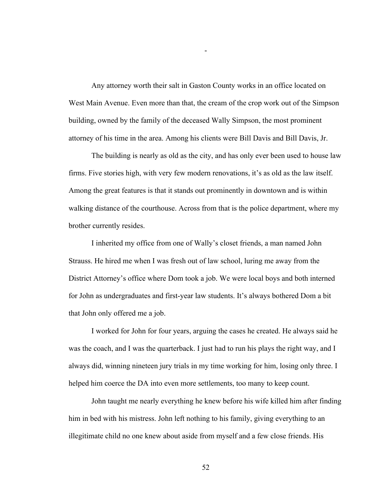Any attorney worth their salt in Gaston County works in an office located on West Main Avenue. Even more than that, the cream of the crop work out of the Simpson building, owned by the family of the deceased Wally Simpson, the most prominent attorney of his time in the area. Among his clients were Bill Davis and Bill Davis, Jr.

-

The building is nearly as old as the city, and has only ever been used to house law firms. Five stories high, with very few modern renovations, it's as old as the law itself. Among the great features is that it stands out prominently in downtown and is within walking distance of the courthouse. Across from that is the police department, where my brother currently resides.

I inherited my office from one of Wally's closet friends, a man named John Strauss. He hired me when I was fresh out of law school, luring me away from the District Attorney's office where Dom took a job. We were local boys and both interned for John as undergraduates and first-year law students. It's always bothered Dom a bit that John only offered me a job.

I worked for John for four years, arguing the cases he created. He always said he was the coach, and I was the quarterback. I just had to run his plays the right way, and I always did, winning nineteen jury trials in my time working for him, losing only three. I helped him coerce the DA into even more settlements, too many to keep count.

John taught me nearly everything he knew before his wife killed him after finding him in bed with his mistress. John left nothing to his family, giving everything to an illegitimate child no one knew about aside from myself and a few close friends. His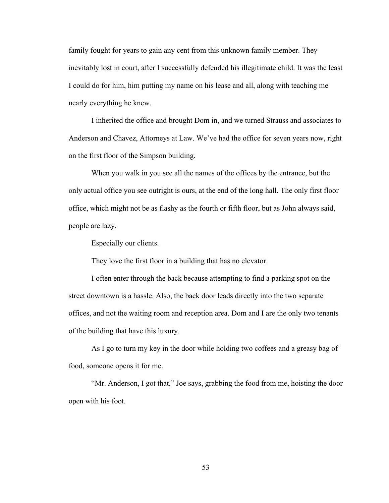family fought for years to gain any cent from this unknown family member. They inevitably lost in court, after I successfully defended his illegitimate child. It was the least I could do for him, him putting my name on his lease and all, along with teaching me nearly everything he knew.

I inherited the office and brought Dom in, and we turned Strauss and associates to Anderson and Chavez, Attorneys at Law. We've had the office for seven years now, right on the first floor of the Simpson building.

When you walk in you see all the names of the offices by the entrance, but the only actual office you see outright is ours, at the end of the long hall. The only first floor office, which might not be as flashy as the fourth or fifth floor, but as John always said, people are lazy.

Especially our clients.

They love the first floor in a building that has no elevator.

I often enter through the back because attempting to find a parking spot on the street downtown is a hassle. Also, the back door leads directly into the two separate offices, and not the waiting room and reception area. Dom and I are the only two tenants of the building that have this luxury.

As I go to turn my key in the door while holding two coffees and a greasy bag of food, someone opens it for me.

"Mr. Anderson, I got that," Joe says, grabbing the food from me, hoisting the door open with his foot.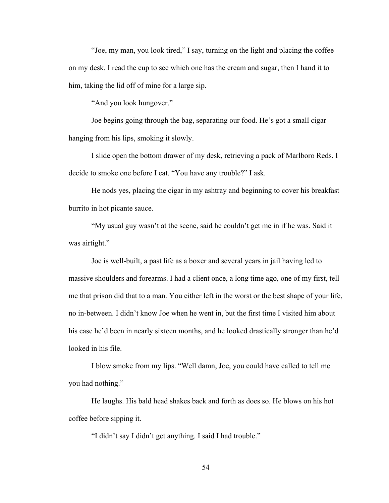"Joe, my man, you look tired," I say, turning on the light and placing the coffee on my desk. I read the cup to see which one has the cream and sugar, then I hand it to him, taking the lid off of mine for a large sip.

"And you look hungover."

Joe begins going through the bag, separating our food. He's got a small cigar hanging from his lips, smoking it slowly.

I slide open the bottom drawer of my desk, retrieving a pack of Marlboro Reds. I decide to smoke one before I eat. "You have any trouble?" I ask.

He nods yes, placing the cigar in my ashtray and beginning to cover his breakfast burrito in hot picante sauce.

"My usual guy wasn't at the scene, said he couldn't get me in if he was. Said it was airtight."

Joe is well-built, a past life as a boxer and several years in jail having led to massive shoulders and forearms. I had a client once, a long time ago, one of my first, tell me that prison did that to a man. You either left in the worst or the best shape of your life, no in-between. I didn't know Joe when he went in, but the first time I visited him about his case he'd been in nearly sixteen months, and he looked drastically stronger than he'd looked in his file.

I blow smoke from my lips. "Well damn, Joe, you could have called to tell me you had nothing."

He laughs. His bald head shakes back and forth as does so. He blows on his hot coffee before sipping it.

"I didn't say I didn't get anything. I said I had trouble."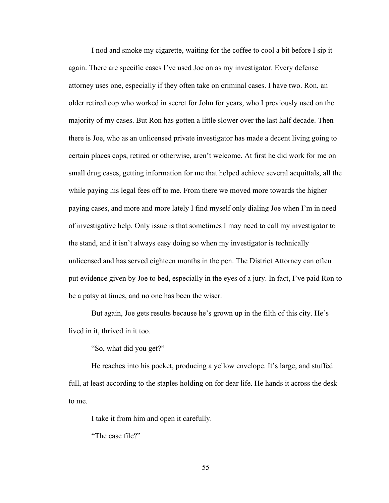I nod and smoke my cigarette, waiting for the coffee to cool a bit before I sip it again. There are specific cases I've used Joe on as my investigator. Every defense attorney uses one, especially if they often take on criminal cases. I have two. Ron, an older retired cop who worked in secret for John for years, who I previously used on the majority of my cases. But Ron has gotten a little slower over the last half decade. Then there is Joe, who as an unlicensed private investigator has made a decent living going to certain places cops, retired or otherwise, aren't welcome. At first he did work for me on small drug cases, getting information for me that helped achieve several acquittals, all the while paying his legal fees off to me. From there we moved more towards the higher paying cases, and more and more lately I find myself only dialing Joe when I'm in need of investigative help. Only issue is that sometimes I may need to call my investigator to the stand, and it isn't always easy doing so when my investigator is technically unlicensed and has served eighteen months in the pen. The District Attorney can often put evidence given by Joe to bed, especially in the eyes of a jury. In fact, I've paid Ron to be a patsy at times, and no one has been the wiser.

But again, Joe gets results because he's grown up in the filth of this city. He's lived in it, thrived in it too.

"So, what did you get?"

He reaches into his pocket, producing a yellow envelope. It's large, and stuffed full, at least according to the staples holding on for dear life. He hands it across the desk to me.

I take it from him and open it carefully.

"The case file?"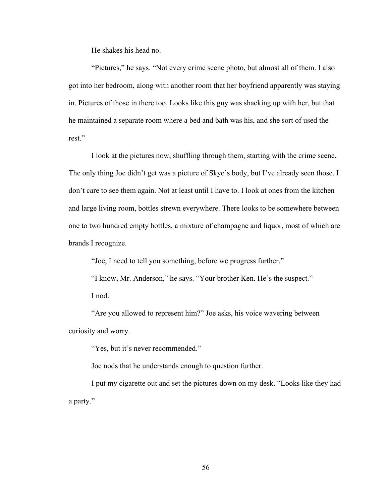He shakes his head no.

"Pictures," he says. "Not every crime scene photo, but almost all of them. I also got into her bedroom, along with another room that her boyfriend apparently was staying in. Pictures of those in there too. Looks like this guy was shacking up with her, but that he maintained a separate room where a bed and bath was his, and she sort of used the rest."

I look at the pictures now, shuffling through them, starting with the crime scene. The only thing Joe didn't get was a picture of Skye's body, but I've already seen those. I don't care to see them again. Not at least until I have to. I look at ones from the kitchen and large living room, bottles strewn everywhere. There looks to be somewhere between one to two hundred empty bottles, a mixture of champagne and liquor, most of which are brands I recognize.

"Joe, I need to tell you something, before we progress further."

"I know, Mr. Anderson," he says. "Your brother Ken. He's the suspect." I nod.

"Are you allowed to represent him?" Joe asks, his voice wavering between curiosity and worry.

"Yes, but it's never recommended."

Joe nods that he understands enough to question further.

I put my cigarette out and set the pictures down on my desk. "Looks like they had a party."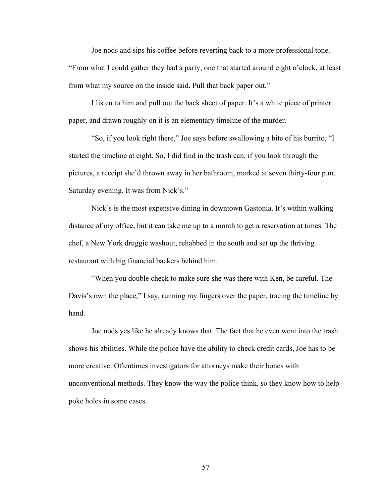Joe nods and sips his coffee before reverting back to a more professional tone.

"From what I could gather they had a party, one that started around eight o'clock, at least from what my source on the inside said. Pull that back paper out."

I listen to him and pull out the back sheet of paper. It's a white piece of printer paper, and drawn roughly on it is an elementary timeline of the murder.

"So, if you look right there," Joe says before swallowing a bite of his burrito, "I started the timeline at eight. So, I did find in the trash can, if you look through the pictures, a receipt she'd thrown away in her bathroom, marked at seven thirty-four p.m. Saturday evening. It was from Nick's."

Nick's is the most expensive dining in downtown Gastonia. It's within walking distance of my office, but it can take me up to a month to get a reservation at times. The chef, a New York druggie washout, rehabbed in the south and set up the thriving restaurant with big financial backers behind him.

"When you double check to make sure she was there with Ken, be careful. The Davis's own the place," I say, running my fingers over the paper, tracing the timeline by hand.

Joe nods yes like he already knows that. The fact that he even went into the trash shows his abilities. While the police have the ability to check credit cards, Joe has to be more creative. Oftentimes investigators for attorneys make their bones with unconventional methods. They know the way the police think, so they know how to help poke holes in some cases.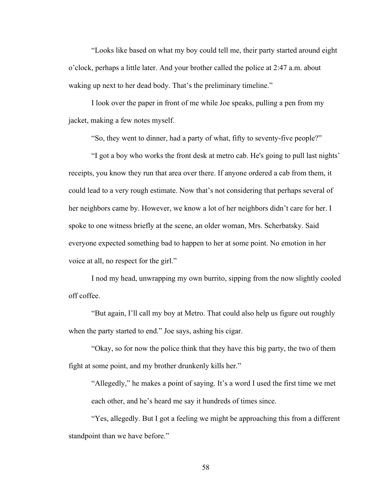"Looks like based on what my boy could tell me, their party started around eight o'clock, perhaps a little later. And your brother called the police at 2:47 a.m. about waking up next to her dead body. That's the preliminary timeline."

I look over the paper in front of me while Joe speaks, pulling a pen from my jacket, making a few notes myself.

"So, they went to dinner, had a party of what, fifty to seventy-five people?"

"I got a boy who works the front desk at metro cab. He's going to pull last nights' receipts, you know they run that area over there. If anyone ordered a cab from them, it could lead to a very rough estimate. Now that's not considering that perhaps several of her neighbors came by. However, we know a lot of her neighbors didn't care for her. I spoke to one witness briefly at the scene, an older woman, Mrs. Scherbatsky. Said everyone expected something bad to happen to her at some point. No emotion in her voice at all, no respect for the girl."

I nod my head, unwrapping my own burrito, sipping from the now slightly cooled off coffee.

"But again, I'll call my boy at Metro. That could also help us figure out roughly when the party started to end." Joe says, ashing his cigar.

"Okay, so for now the police think that they have this big party, the two of them fight at some point, and my brother drunkenly kills her."

"Allegedly," he makes a point of saying. It's a word I used the first time we met each other, and he's heard me say it hundreds of times since.

"Yes, allegedly. But I got a feeling we might be approaching this from a different standpoint than we have before."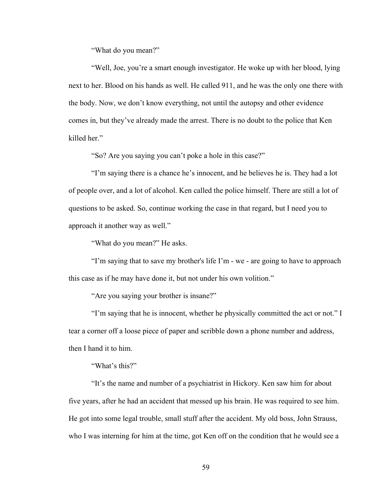"What do you mean?"

"Well, Joe, you're a smart enough investigator. He woke up with her blood, lying next to her. Blood on his hands as well. He called 911, and he was the only one there with the body. Now, we don't know everything, not until the autopsy and other evidence comes in, but they've already made the arrest. There is no doubt to the police that Ken killed her."

"So? Are you saying you can't poke a hole in this case?"

"I'm saying there is a chance he's innocent, and he believes he is. They had a lot of people over, and a lot of alcohol. Ken called the police himself. There are still a lot of questions to be asked. So, continue working the case in that regard, but I need you to approach it another way as well."

"What do you mean?" He asks.

"I'm saying that to save my brother's life I'm - we - are going to have to approach this case as if he may have done it, but not under his own volition."

"Are you saying your brother is insane?"

"I'm saying that he is innocent, whether he physically committed the act or not." I tear a corner off a loose piece of paper and scribble down a phone number and address, then I hand it to him.

"What's this?"

"It's the name and number of a psychiatrist in Hickory. Ken saw him for about five years, after he had an accident that messed up his brain. He was required to see him. He got into some legal trouble, small stuff after the accident. My old boss, John Strauss, who I was interning for him at the time, got Ken off on the condition that he would see a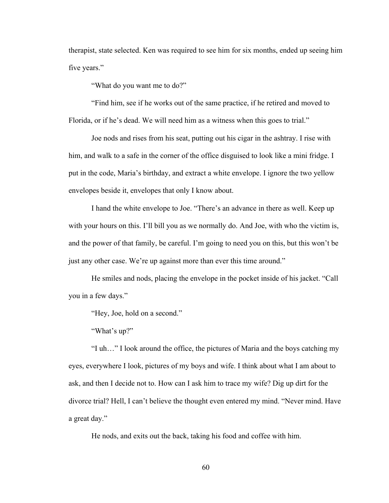therapist, state selected. Ken was required to see him for six months, ended up seeing him five years."

"What do you want me to do?"

"Find him, see if he works out of the same practice, if he retired and moved to Florida, or if he's dead. We will need him as a witness when this goes to trial."

Joe nods and rises from his seat, putting out his cigar in the ashtray. I rise with him, and walk to a safe in the corner of the office disguised to look like a mini fridge. I put in the code, Maria's birthday, and extract a white envelope. I ignore the two yellow envelopes beside it, envelopes that only I know about.

I hand the white envelope to Joe. "There's an advance in there as well. Keep up with your hours on this. I'll bill you as we normally do. And Joe, with who the victim is, and the power of that family, be careful. I'm going to need you on this, but this won't be just any other case. We're up against more than ever this time around."

He smiles and nods, placing the envelope in the pocket inside of his jacket. "Call you in a few days."

"Hey, Joe, hold on a second."

"What's up?"

"I uh…" I look around the office, the pictures of Maria and the boys catching my eyes, everywhere I look, pictures of my boys and wife. I think about what I am about to ask, and then I decide not to. How can I ask him to trace my wife? Dig up dirt for the divorce trial? Hell, I can't believe the thought even entered my mind. "Never mind. Have a great day."

He nods, and exits out the back, taking his food and coffee with him.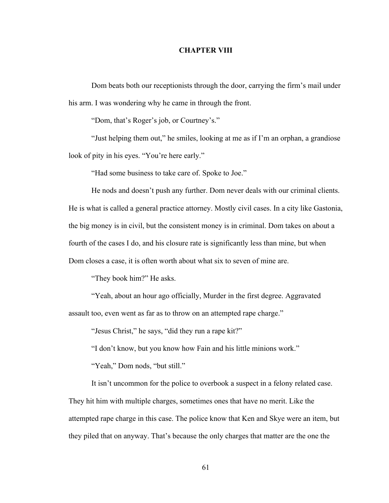# **CHAPTER VIII**

Dom beats both our receptionists through the door, carrying the firm's mail under his arm. I was wondering why he came in through the front.

"Dom, that's Roger's job, or Courtney's."

"Just helping them out," he smiles, looking at me as if I'm an orphan, a grandiose look of pity in his eyes. "You're here early."

"Had some business to take care of. Spoke to Joe."

He nods and doesn't push any further. Dom never deals with our criminal clients. He is what is called a general practice attorney. Mostly civil cases. In a city like Gastonia, the big money is in civil, but the consistent money is in criminal. Dom takes on about a fourth of the cases I do, and his closure rate is significantly less than mine, but when Dom closes a case, it is often worth about what six to seven of mine are.

"They book him?" He asks.

"Yeah, about an hour ago officially, Murder in the first degree. Aggravated assault too, even went as far as to throw on an attempted rape charge."

"Jesus Christ," he says, "did they run a rape kit?"

"I don't know, but you know how Fain and his little minions work."

"Yeah," Dom nods, "but still."

It isn't uncommon for the police to overbook a suspect in a felony related case. They hit him with multiple charges, sometimes ones that have no merit. Like the attempted rape charge in this case. The police know that Ken and Skye were an item, but they piled that on anyway. That's because the only charges that matter are the one the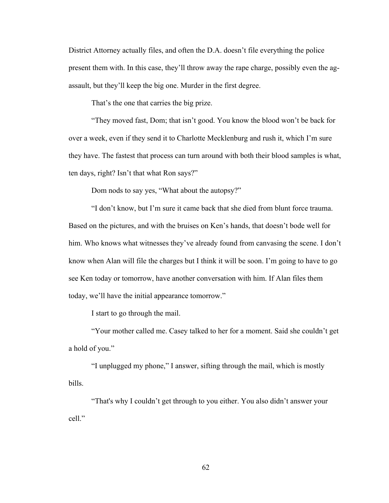District Attorney actually files, and often the D.A. doesn't file everything the police present them with. In this case, they'll throw away the rape charge, possibly even the agassault, but they'll keep the big one. Murder in the first degree.

That's the one that carries the big prize.

"They moved fast, Dom; that isn't good. You know the blood won't be back for over a week, even if they send it to Charlotte Mecklenburg and rush it, which I'm sure they have. The fastest that process can turn around with both their blood samples is what, ten days, right? Isn't that what Ron says?"

Dom nods to say yes, "What about the autopsy?"

"I don't know, but I'm sure it came back that she died from blunt force trauma. Based on the pictures, and with the bruises on Ken's hands, that doesn't bode well for him. Who knows what witnesses they've already found from canvasing the scene. I don't know when Alan will file the charges but I think it will be soon. I'm going to have to go see Ken today or tomorrow, have another conversation with him. If Alan files them today, we'll have the initial appearance tomorrow."

I start to go through the mail.

"Your mother called me. Casey talked to her for a moment. Said she couldn't get a hold of you."

"I unplugged my phone," I answer, sifting through the mail, which is mostly bills.

"That's why I couldn't get through to you either. You also didn't answer your cell."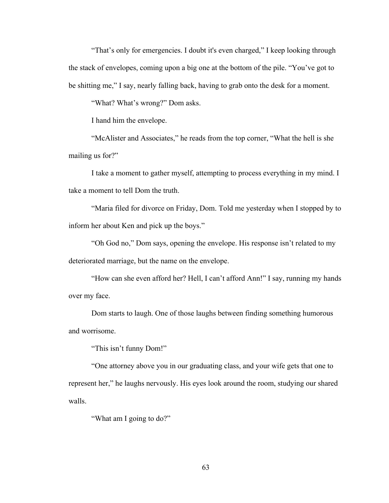"That's only for emergencies. I doubt it's even charged," I keep looking through the stack of envelopes, coming upon a big one at the bottom of the pile. "You've got to be shitting me," I say, nearly falling back, having to grab onto the desk for a moment.

"What? What's wrong?" Dom asks.

I hand him the envelope.

"McAlister and Associates," he reads from the top corner, "What the hell is she mailing us for?"

I take a moment to gather myself, attempting to process everything in my mind. I take a moment to tell Dom the truth.

"Maria filed for divorce on Friday, Dom. Told me yesterday when I stopped by to inform her about Ken and pick up the boys."

"Oh God no," Dom says, opening the envelope. His response isn't related to my deteriorated marriage, but the name on the envelope.

"How can she even afford her? Hell, I can't afford Ann!" I say, running my hands over my face.

Dom starts to laugh. One of those laughs between finding something humorous and worrisome.

"This isn't funny Dom!"

"One attorney above you in our graduating class, and your wife gets that one to represent her," he laughs nervously. His eyes look around the room, studying our shared walls.

"What am I going to do?"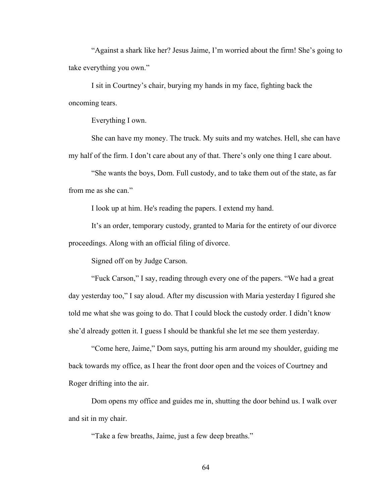"Against a shark like her? Jesus Jaime, I'm worried about the firm! She's going to take everything you own."

I sit in Courtney's chair, burying my hands in my face, fighting back the oncoming tears.

Everything I own.

She can have my money. The truck. My suits and my watches. Hell, she can have my half of the firm. I don't care about any of that. There's only one thing I care about.

"She wants the boys, Dom. Full custody, and to take them out of the state, as far from me as she can."

I look up at him. He's reading the papers. I extend my hand.

It's an order, temporary custody, granted to Maria for the entirety of our divorce proceedings. Along with an official filing of divorce.

Signed off on by Judge Carson.

"Fuck Carson," I say, reading through every one of the papers. "We had a great day yesterday too," I say aloud. After my discussion with Maria yesterday I figured she told me what she was going to do. That I could block the custody order. I didn't know she'd already gotten it. I guess I should be thankful she let me see them yesterday.

 "Come here, Jaime," Dom says, putting his arm around my shoulder, guiding me back towards my office, as I hear the front door open and the voices of Courtney and Roger drifting into the air.

Dom opens my office and guides me in, shutting the door behind us. I walk over and sit in my chair.

"Take a few breaths, Jaime, just a few deep breaths."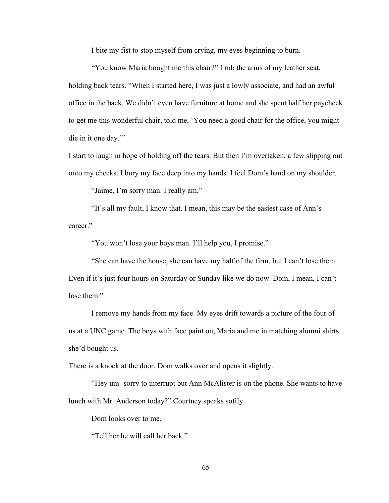I bite my fist to stop myself from crying, my eyes beginning to burn.

 "You know Maria bought me this chair?" I rub the arms of my leather seat, holding back tears. "When I started here, I was just a lowly associate, and had an awful office in the back. We didn't even have furniture at home and she spent half her paycheck to get me this wonderful chair, told me, 'You need a good chair for the office, you might die in it one day.'"

I start to laugh in hope of holding off the tears. But then I'm overtaken, a few slipping out onto my cheeks. I bury my face deep into my hands. I feel Dom's hand on my shoulder.

"Jaime, I'm sorry man. I really am."

 "It's all my fault, I know that. I mean, this may be the easiest case of Ann's career."

"You won't lose your boys man. I'll help you, I promise."

 "She can have the house, she can have my half of the firm, but I can't lose them. Even if it's just four hours on Saturday or Sunday like we do now. Dom, I mean, I can't lose them."

I remove my hands from my face. My eyes drift towards a picture of the four of us at a UNC game. The boys with face paint on, Maria and me in matching alumni shirts she'd bought us.

There is a knock at the door. Dom walks over and opens it slightly.

 "Hey um- sorry to interrupt but Ann McAlister is on the phone. She wants to have lunch with Mr. Anderson today?" Courtney speaks softly.

Dom looks over to me.

"Tell her he will call her back."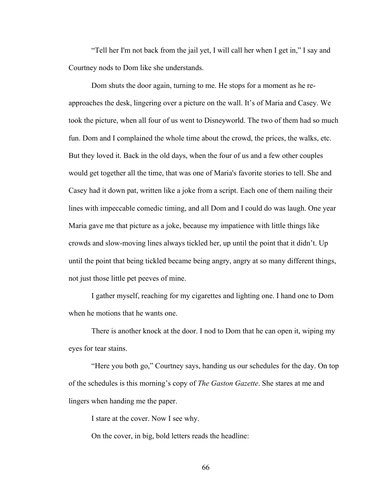"Tell her I'm not back from the jail yet, I will call her when I get in," I say and Courtney nods to Dom like she understands.

 Dom shuts the door again, turning to me. He stops for a moment as he reapproaches the desk, lingering over a picture on the wall. It's of Maria and Casey. We took the picture, when all four of us went to Disneyworld. The two of them had so much fun. Dom and I complained the whole time about the crowd, the prices, the walks, etc. But they loved it. Back in the old days, when the four of us and a few other couples would get together all the time, that was one of Maria's favorite stories to tell. She and Casey had it down pat, written like a joke from a script. Each one of them nailing their lines with impeccable comedic timing, and all Dom and I could do was laugh. One year Maria gave me that picture as a joke, because my impatience with little things like crowds and slow-moving lines always tickled her, up until the point that it didn't. Up until the point that being tickled became being angry, angry at so many different things, not just those little pet peeves of mine.

I gather myself, reaching for my cigarettes and lighting one. I hand one to Dom when he motions that he wants one.

There is another knock at the door. I nod to Dom that he can open it, wiping my eyes for tear stains.

"Here you both go," Courtney says, handing us our schedules for the day. On top of the schedules is this morning's copy of *The Gaston Gazette*. She stares at me and lingers when handing me the paper.

I stare at the cover. Now I see why.

On the cover, in big, bold letters reads the headline: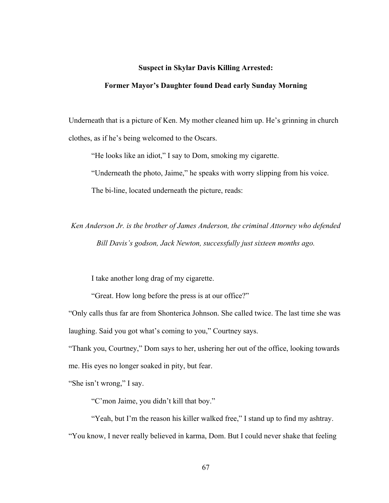#### **Suspect in Skylar Davis Killing Arrested:**

#### **Former Mayor's Daughter found Dead early Sunday Morning**

Underneath that is a picture of Ken. My mother cleaned him up. He's grinning in church clothes, as if he's being welcomed to the Oscars.

"He looks like an idiot," I say to Dom, smoking my cigarette.

"Underneath the photo, Jaime," he speaks with worry slipping from his voice.

The bi-line, located underneath the picture, reads:

*Ken Anderson Jr. is the brother of James Anderson, the criminal Attorney who defended Bill Davis's godson, Jack Newton, successfully just sixteen months ago.*

I take another long drag of my cigarette.

"Great. How long before the press is at our office?"

"Only calls thus far are from Shonterica Johnson. She called twice. The last time she was laughing. Said you got what's coming to you," Courtney says.

"Thank you, Courtney," Dom says to her, ushering her out of the office, looking towards me. His eyes no longer soaked in pity, but fear.

"She isn't wrong," I say.

"C'mon Jaime, you didn't kill that boy."

"Yeah, but I'm the reason his killer walked free," I stand up to find my ashtray. "You know, I never really believed in karma, Dom. But I could never shake that feeling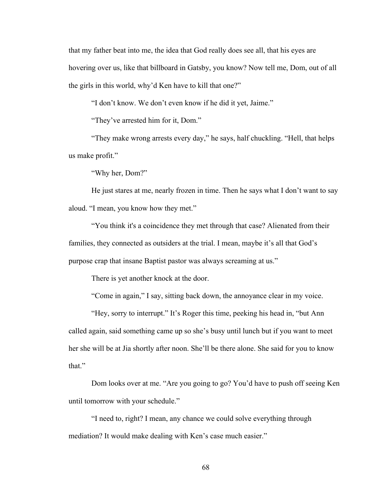that my father beat into me, the idea that God really does see all, that his eyes are hovering over us, like that billboard in Gatsby, you know? Now tell me, Dom, out of all the girls in this world, why'd Ken have to kill that one?"

"I don't know. We don't even know if he did it yet, Jaime."

"They've arrested him for it, Dom."

"They make wrong arrests every day," he says, half chuckling. "Hell, that helps us make profit."

"Why her, Dom?"

He just stares at me, nearly frozen in time. Then he says what I don't want to say aloud. "I mean, you know how they met."

 "You think it's a coincidence they met through that case? Alienated from their families, they connected as outsiders at the trial. I mean, maybe it's all that God's purpose crap that insane Baptist pastor was always screaming at us."

There is yet another knock at the door.

"Come in again," I say, sitting back down, the annoyance clear in my voice.

 "Hey, sorry to interrupt." It's Roger this time, peeking his head in, "but Ann called again, said something came up so she's busy until lunch but if you want to meet her she will be at Jia shortly after noon. She'll be there alone. She said for you to know that."

 Dom looks over at me. "Are you going to go? You'd have to push off seeing Ken until tomorrow with your schedule."

 "I need to, right? I mean, any chance we could solve everything through mediation? It would make dealing with Ken's case much easier."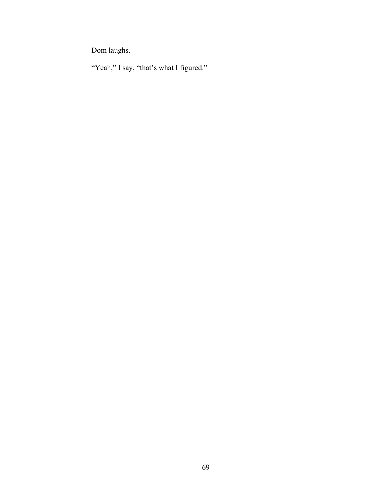Dom laughs.

"Yeah," I say, "that's what I figured."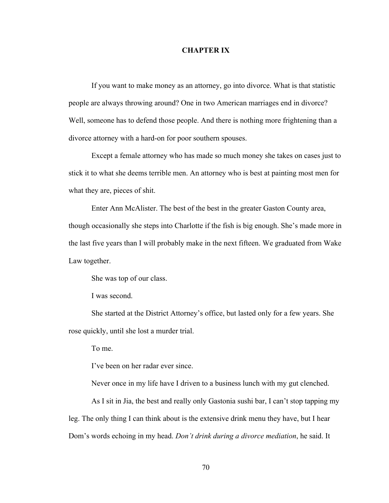## **CHAPTER IX**

If you want to make money as an attorney, go into divorce. What is that statistic people are always throwing around? One in two American marriages end in divorce? Well, someone has to defend those people. And there is nothing more frightening than a divorce attorney with a hard-on for poor southern spouses.

 Except a female attorney who has made so much money she takes on cases just to stick it to what she deems terrible men. An attorney who is best at painting most men for what they are, pieces of shit.

 Enter Ann McAlister. The best of the best in the greater Gaston County area, though occasionally she steps into Charlotte if the fish is big enough. She's made more in the last five years than I will probably make in the next fifteen. We graduated from Wake Law together.

She was top of our class.

I was second.

She started at the District Attorney's office, but lasted only for a few years. She rose quickly, until she lost a murder trial.

To me.

I've been on her radar ever since.

Never once in my life have I driven to a business lunch with my gut clenched.

 As I sit in Jia, the best and really only Gastonia sushi bar, I can't stop tapping my leg. The only thing I can think about is the extensive drink menu they have, but I hear Dom's words echoing in my head. *Don't drink during a divorce mediation*, he said. It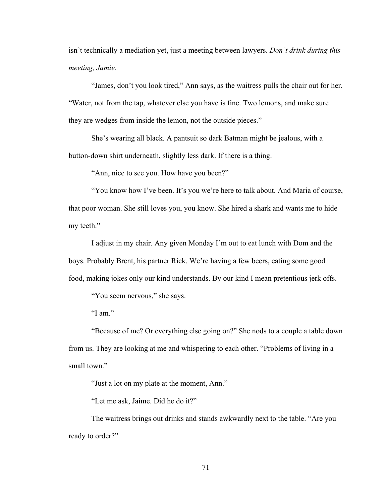isn't technically a mediation yet, just a meeting between lawyers. *Don't drink during this meeting, Jamie.*

 "James, don't you look tired," Ann says, as the waitress pulls the chair out for her. "Water, not from the tap, whatever else you have is fine. Two lemons, and make sure they are wedges from inside the lemon, not the outside pieces."

 She's wearing all black. A pantsuit so dark Batman might be jealous, with a button-down shirt underneath, slightly less dark. If there is a thing.

"Ann, nice to see you. How have you been?"

 "You know how I've been. It's you we're here to talk about. And Maria of course, that poor woman. She still loves you, you know. She hired a shark and wants me to hide my teeth."

 I adjust in my chair. Any given Monday I'm out to eat lunch with Dom and the boys. Probably Brent, his partner Rick. We're having a few beers, eating some good food, making jokes only our kind understands. By our kind I mean pretentious jerk offs.

"You seem nervous," she says.

"I am."

 "Because of me? Or everything else going on?" She nods to a couple a table down from us. They are looking at me and whispering to each other. "Problems of living in a small town."

"Just a lot on my plate at the moment, Ann."

"Let me ask, Jaime. Did he do it?"

The waitress brings out drinks and stands awkwardly next to the table. "Are you ready to order?"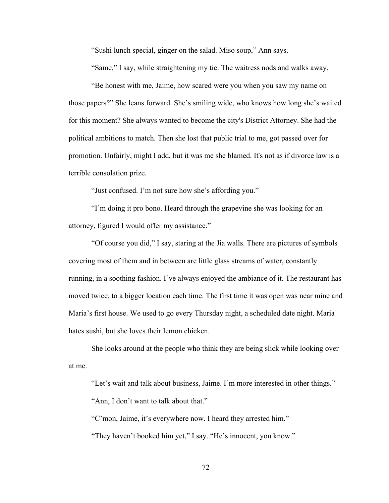"Sushi lunch special, ginger on the salad. Miso soup," Ann says.

"Same," I say, while straightening my tie. The waitress nods and walks away.

"Be honest with me, Jaime, how scared were you when you saw my name on those papers?" She leans forward. She's smiling wide, who knows how long she's waited for this moment? She always wanted to become the city's District Attorney. She had the political ambitions to match. Then she lost that public trial to me, got passed over for promotion. Unfairly, might I add, but it was me she blamed. It's not as if divorce law is a terrible consolation prize.

"Just confused. I'm not sure how she's affording you."

"I'm doing it pro bono. Heard through the grapevine she was looking for an attorney, figured I would offer my assistance."

"Of course you did," I say, staring at the Jia walls. There are pictures of symbols covering most of them and in between are little glass streams of water, constantly running, in a soothing fashion. I've always enjoyed the ambiance of it. The restaurant has moved twice, to a bigger location each time. The first time it was open was near mine and Maria's first house. We used to go every Thursday night, a scheduled date night. Maria hates sushi, but she loves their lemon chicken.

She looks around at the people who think they are being slick while looking over at me.

"Let's wait and talk about business, Jaime. I'm more interested in other things." "Ann, I don't want to talk about that."

"C'mon, Jaime, it's everywhere now. I heard they arrested him."

"They haven't booked him yet," I say. "He's innocent, you know."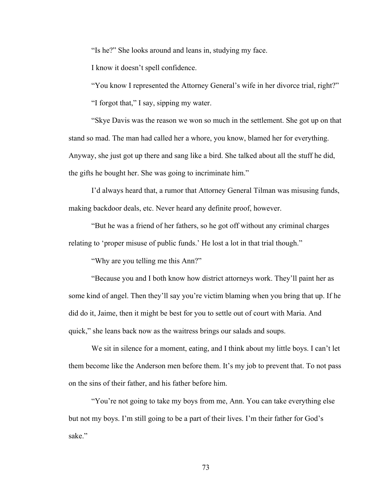"Is he?" She looks around and leans in, studying my face.

I know it doesn't spell confidence.

"You know I represented the Attorney General's wife in her divorce trial, right?"

"I forgot that," I say, sipping my water.

"Skye Davis was the reason we won so much in the settlement. She got up on that stand so mad. The man had called her a whore, you know, blamed her for everything. Anyway, she just got up there and sang like a bird. She talked about all the stuff he did, the gifts he bought her. She was going to incriminate him."

I'd always heard that, a rumor that Attorney General Tilman was misusing funds, making backdoor deals, etc. Never heard any definite proof, however.

"But he was a friend of her fathers, so he got off without any criminal charges relating to 'proper misuse of public funds.' He lost a lot in that trial though."

"Why are you telling me this Ann?"

"Because you and I both know how district attorneys work. They'll paint her as some kind of angel. Then they'll say you're victim blaming when you bring that up. If he did do it, Jaime, then it might be best for you to settle out of court with Maria. And quick," she leans back now as the waitress brings our salads and soups.

We sit in silence for a moment, eating, and I think about my little boys. I can't let them become like the Anderson men before them. It's my job to prevent that. To not pass on the sins of their father, and his father before him.

"You're not going to take my boys from me, Ann. You can take everything else but not my boys. I'm still going to be a part of their lives. I'm their father for God's sake."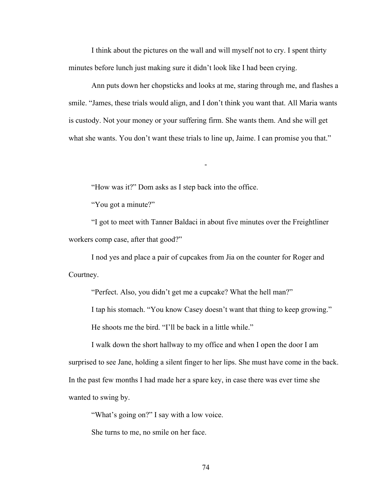I think about the pictures on the wall and will myself not to cry. I spent thirty minutes before lunch just making sure it didn't look like I had been crying.

Ann puts down her chopsticks and looks at me, staring through me, and flashes a smile. "James, these trials would align, and I don't think you want that. All Maria wants is custody. Not your money or your suffering firm. She wants them. And she will get what she wants. You don't want these trials to line up, Jaime. I can promise you that."

-

"How was it?" Dom asks as I step back into the office.

"You got a minute?"

 "I got to meet with Tanner Baldaci in about five minutes over the Freightliner workers comp case, after that good?"

 I nod yes and place a pair of cupcakes from Jia on the counter for Roger and Courtney.

"Perfect. Also, you didn't get me a cupcake? What the hell man?"

 I tap his stomach. "You know Casey doesn't want that thing to keep growing." He shoots me the bird. "I'll be back in a little while."

 I walk down the short hallway to my office and when I open the door I am surprised to see Jane, holding a silent finger to her lips. She must have come in the back. In the past few months I had made her a spare key, in case there was ever time she wanted to swing by.

"What's going on?" I say with a low voice.

She turns to me, no smile on her face.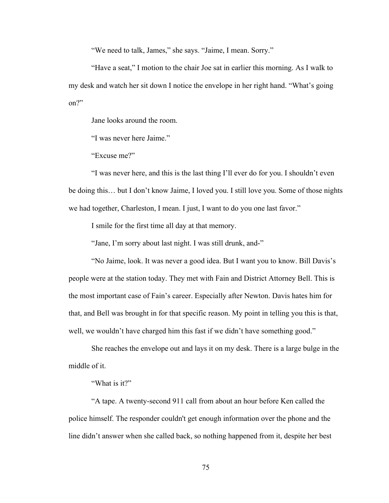"We need to talk, James," she says. "Jaime, I mean. Sorry."

"Have a seat," I motion to the chair Joe sat in earlier this morning. As I walk to my desk and watch her sit down I notice the envelope in her right hand. "What's going on?"

Jane looks around the room.

"I was never here Jaime."

"Excuse me?"

"I was never here, and this is the last thing I'll ever do for you. I shouldn't even be doing this… but I don't know Jaime, I loved you. I still love you. Some of those nights we had together, Charleston, I mean. I just, I want to do you one last favor."

I smile for the first time all day at that memory.

"Jane, I'm sorry about last night. I was still drunk, and-"

"No Jaime, look. It was never a good idea. But I want you to know. Bill Davis's people were at the station today. They met with Fain and District Attorney Bell. This is the most important case of Fain's career. Especially after Newton. Davis hates him for that, and Bell was brought in for that specific reason. My point in telling you this is that, well, we wouldn't have charged him this fast if we didn't have something good."

She reaches the envelope out and lays it on my desk. There is a large bulge in the middle of it.

"What is it?"

"A tape. A twenty-second 911 call from about an hour before Ken called the police himself. The responder couldn't get enough information over the phone and the line didn't answer when she called back, so nothing happened from it, despite her best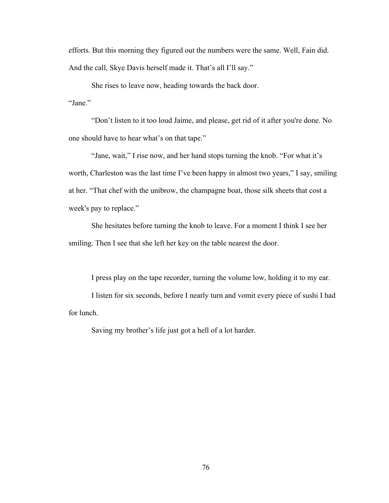efforts. But this morning they figured out the numbers were the same. Well, Fain did. And the call, Skye Davis herself made it. That's all I'll say."

She rises to leave now, heading towards the back door. "Jane."

"Don't listen to it too loud Jaime, and please, get rid of it after you're done. No one should have to hear what's on that tape."

"Jane, wait," I rise now, and her hand stops turning the knob. "For what it's worth, Charleston was the last time I've been happy in almost two years," I say, smiling at her. "That chef with the unibrow, the champagne boat, those silk sheets that cost a week's pay to replace."

She hesitates before turning the knob to leave. For a moment I think I see her smiling. Then I see that she left her key on the table nearest the door.

I press play on the tape recorder, turning the volume low, holding it to my ear. I listen for six seconds, before I nearly turn and vomit every piece of sushi I had for lunch.

Saving my brother's life just got a hell of a lot harder.

76